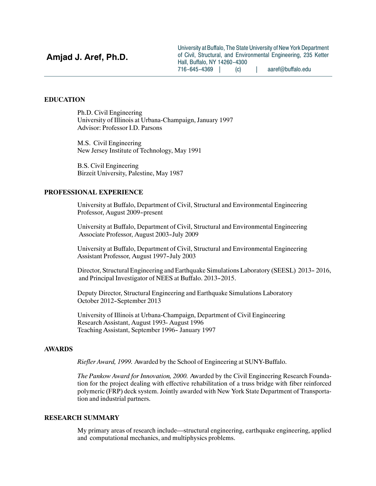Hall, Buffalo, NY 14260-4300 - - 716 -645 -4369 | (c) | [aaref@buffalo.edu](mailto:aaref@buffalo.edu) University at Buffalo, The State University of New York Department Amjad J. Aref, Ph.D. of Civil, Structural, and Environmental Engineering, 235 Ketter

## EDUCATION

Ph.D. Civil Engineering University of Illinois at Urbana-Champaign, January 1997 Advisor: Professor I.D. Parsons

M.S. Civil Engineering New Jersey Institute of Technology, May 1991

B.S. Civil Engineering Birzeit University, Palestine, May 1987

## PROFESSIONAL EXPERIENCE

Professor, August 2009-present University at Buffalo, Department of Civil, Structural and Environmental Engineering

- Associate Professor, August 2003 -July 2009 University at Buffalo, Department of Civil, Structural and Environmental Engineering

- Assistant Professor, August 1997 -July 2003 University at Buffalo, Department of Civil, Structural and Environmental Engineering

Director, Structural Engineering and Earthquake Simulations Laboratory (SEESL) 2013-2016, - and Principal Investigator of NEES at Buffalo. 2013 -2015.

October 2012-September 2013 Deputy Director, Structural Engineering and Earthquake Simulations Laboratory

Teaching Assistant, September 1996- January 1997 University of Illinois at Urbana-Champaign, Department of Civil Engineering Research Assistant, August 1993- August 1996

#### AWARDS

Riefler Award, 1999. Awarded by the School of Engineering at SUNY-Buffalo.

The Pankow Award for Innovation, 2000. Awarded by the Civil Engineering Research Foundation for the project dealing with effective rehabilitation of a truss bridge with fiber reinforced polymeric (FRP) deck system. Jointly awarded with New York State Department of Transportation and industrial partners.

#### RESEARCH SUMMARY

My primary areas of research include—structural engineering, earthquake engineering, applied and computational mechanics, and multiphysics problems.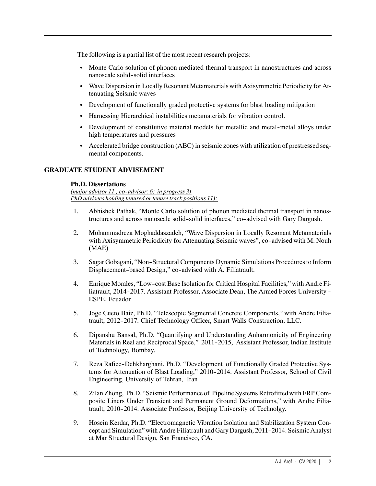The following is a partial list of the most recent research projects:

- nanoscale solid -solid interfaces • Monte Carlo solution of phonon mediated thermal transport in nanostructures and across
- Wave Dispersion in Locally Resonant Metamaterials with Axisymmetric Periodicity for Attenuating Seismic waves
- Development of functionally graded protective systems for blast loading mitigation
- Harnessing Hierarchical instabilities metamaterials for vibration control.
- Development of constitutive material models for metallic and metal-metal alloys under high temperatures and pressures
- Accelerated bridge construction (ABC) in seismic zones with utilization of prestressed segmental components.

# GRADUATE STUDENT ADVISEMENT

### Ph.D. Dissertations

(major advisor 11; co-advisor: 6; in progress 3)  $PhD$  advisees holding tenured or tenure track positions  $11$ :

- tructures and across nanoscale solid-solid interfaces," co-advised with Gary Dargush. 1. Abhishek Pathak, "Monte Carlo solution of phonon mediated thermal transport in nanos-
- with Axisymmetric Periodicity for Attenuating Seismic waves", co-advised with M. Nouh 2. Mohammadreza Moghaddaszadeh, "Wave Dispersion in Locally Resonant Metamaterials (MAE)
- 3. Sagar Gobagani, "Non-Structural Components Dynamic Simulations Procedures to Inform Displacement-based Design," co-advised with A. Filiatrault.
- 4. Enrique Morales, "Low-cost Base Isolation for Critical Hospital Facilities," with Andre Filiatrault, 2014-2017. Assistant Professor, Associate Dean, The Armed Forces University -ESPE, Ecuador.
- trault, 2012-2017. Chief Technology Officer, Smart Walls Construction, LLC. 5. Joge Cueto Baiz, Ph.D. "Telescopic Segmental Concrete Components," with Andre Filia-
- Materials in Real and Reciprocal Space," 2011-2015, Assistant Professor, Indian Institute 6. Dipanshu Bansal, Ph.D. "Quantifying and Understanding Anharmonicity of Engineering of Technology, Bombay.
- 7. Reza Rafiee -Dehkharghani, Ph.D. "Development of Functionally Graded Protective Systems for Attenuation of Blast Loading," 2010-2014. Assistant Professor, School of Civil Engineering, University of Tehran, Iran
- trault, 2010-2014. Associate Professor, Beijing University of Technolgy. 8. Zilan Zhong, Ph.D. "Seismic Performance of Pipeline Systems Retrofitted with FRPComposite Liners Under Transient and Permanent Ground Deformations," with Andre Filia-
- cept and Simulation" with Andre Filiatrault and Gary Dargush, 2011 -2014. SeismicAnalyst 9. Hosein Kerdar, Ph.D. "Electromagnetic Vibration Isolation and Stabilization System Conat Mar Structural Design, San Francisco, CA.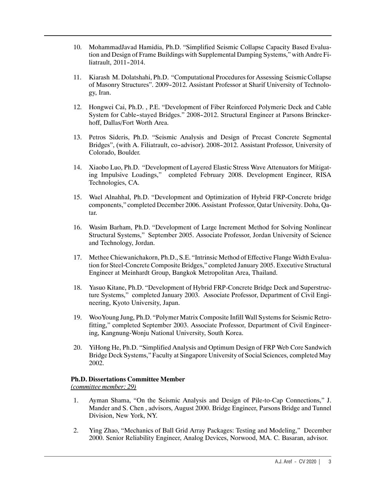- liatrault, 2011-2014. 10. MohammadJavad Hamidia, Ph.D. "Simplified Seismic Collapse Capacity Based Evaluation and Design of Frame Buildings with Supplemental Damping Systems," with Andre Fi-
- of Masonry Structures". 2009-2012. Assistant Professor at Sharif University of Technolo-11. Kiarash M. Dolatshahi, Ph.D. "Computational Proceduresfor Assessing SeismicCollapse gy, Iran.
- System for Cable-stayed Bridges." 2008-2012. Structural Engineer at Parsons Brincker-12. Hongwei Cai, Ph.D. , P.E. "Development of Fiber Reinforced Polymeric Deck and Cable hoff, Dallas/Fort Worth Area.
- Bridges", (with A. Filiatrault, co-advisor). 2008-2012. Assistant Professor, University of 13. Petros Sideris, Ph.D. "Seismic Analysis and Design of Precast Concrete Segmental Colorado, Boulder.
- 14. Xiaobo Luo, Ph.D. "Development of Layered Elastic Stress Wave Attenuators for Mitigating Impulsive Loadings," completed February 2008. Development Engineer, RISA Technologies, CA.
- 15. Wael Alnahhal, Ph.D. "Development and Optimization of Hybrid FRP-Concrete bridge components," completed December 2006. Assistant Professor, Qatar University. Doha, Qatar.
- 16. Wasim Barham, Ph.D. "Development of Large Increment Method for Solving Nonlinear Structural Systems," September 2005. Associate Professor, Jordan University of Science and Technology, Jordan.
- 17. Methee Chiewanichakorn, Ph.D., S.E. "Intrinsic Method of Effective Flange Width Evaluation for Steel-Concrete Composite Bridges," completed January 2005. Executive Structural Engineer at Meinhardt Group, Bangkok Metropolitan Area, Thailand.
- 18. Yasuo Kitane, Ph.D. "Development of Hybrid FRP-Concrete Bridge Deck and Superstructure Systems," completed January 2003. Associate Professor, Department of Civil Engineering, Kyoto University, Japan.
- 19. WooYoung Jung, Ph.D. "Polymer Matrix Composite Infill Wall Systemsfor Seismic Retrofitting," completed September 2003. Associate Professor, Department of Civil Engineering, Kangnung-Wonju National University, South Korea.
- 20. YiHong He, Ph.D. "Simplified Analysis and Optimum Design of FRP Web Core Sandwich Bridge Deck Systems," Faculty at Singapore University of Social Sciences, completed May 2002.

# Ph.D. Dissertations Committee Member

(committee member: 29)

- 1. Ayman Shama, "On the Seismic Analysis and Design of Pile-to-Cap Connections," J. Mander and S. Chen , advisors, August 2000. Bridge Engineer, Parsons Bridge and Tunnel Division, New York, NY.
- 2. Ying Zhao, "Mechanics of Ball Grid Array Packages: Testing and Modeling," December 2000. Senior Reliability Engineer, Analog Devices, Norwood, MA. C. Basaran, advisor.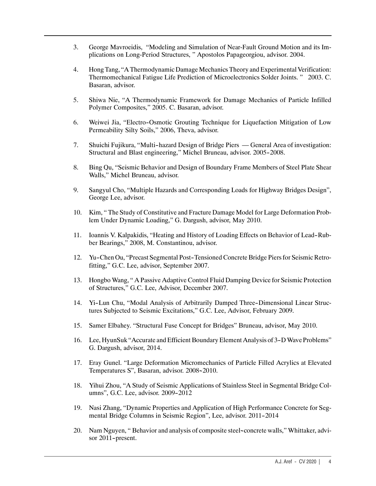- 3. George Mavroeidis, "Modeling and Simulation of Near-Fault Ground Motion and its Implications on Long-Period Structures, " Apostolos Papageorgiou, advisor. 2004.
- 4. Hong Tang, "A Thermodynamic Damage Mechanics Theory and Experimental Verification: Thermomechanical Fatigue Life Prediction of Microelectronics Solder Joints. " 2003. C. Basaran, advisor.
- 5. Shiwa Nie, "A Thermodynamic Framework for Damage Mechanics of Particle Infilled Polymer Composites," 2005. C. Basaran, advisor.
- 6. Weiwei Jia, "Electro-Osmotic Grouting Technique for Liquefaction Mitigation of Low Permeability Silty Soils," 2006, Theva, advisor.
- 7. Shuichi Fujikura, "Multi-hazard Design of Bridge Piers General Area of investigation: Structural and Blast engineering," Michel Bruneau, advisor. 2005-2008.
- 8. Bing Qu, "Seismic Behavior and Design of Boundary Frame Members of Steel Plate Shear Walls," Michel Bruneau, advisor.
- 9. Sangyul Cho, "Multiple Hazards and Corresponding Loads for Highway Bridges Design", George Lee, advisor.
- 10. Kim, " The Study of Constitutive and Fracture Damage Model for Large Deformation Problem Under Dynamic Loading," G. Dargush, advisor, May 2010.
- 11. Ioannis V. Kalpakidis, "Heating and History of Loading Effects on Behavior of Lead-Rubber Bearings," 2008, M. Constantinou, advisor.
- 12. Yu-Chen Ou, "Precast Segmental Post-Tensioned Concrete Bridge Piers for Seismic Retrofitting," G.C. Lee, advisor, September 2007.
- 13. Hongbo Wang, " A Passive Adaptive Control Fluid Damping Device for Seismic Protection of Structures," G.C. Lee, Advisor, December 2007.
- 14. Yi-Lun Chu, "Modal Analysis of Arbitrarily Damped Three-Dimensional Linear Structures Subjected to Seismic Excitations," G.C. Lee, Advisor, February 2009.
- 15. Samer Elbahey. "Structural Fuse Concept for Bridges" Bruneau, advisor, May 2010.
- 16. Lee, HyunSuk "Accurate and Efficient Boundary Element Analysis of 3-D Wave Problems" G. Dargush, advisor, 2014.
- Temperatures S", Basaran, advisor. 2008-2010. 17. Eray Gunel. "Large Deformation Micromechanics of Particle Filled Acrylics at Elevated
- umns", G.C. Lee, advisor. 2009-2012 18. Yihui Zhou, "A Study of Seismic Applications of Stainless Steel in Segmental Bridge Col-
- mental Bridge Columns in Seismic Region", Lee, advisor. 2011 -2014 19. Nasi Zhang, "Dynamic Properties and Application of High Performance Concrete for Seg-
- 20. Nam Nguyen, " Behavior and analysis of composite steel-concrete walls," Whittaker, advisor 2011-present.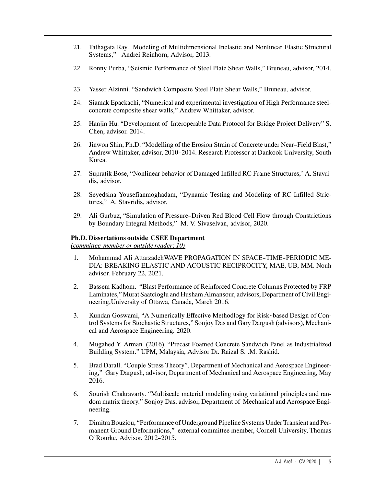- 21. Tathagata Ray. Modeling of Multidimensional Inelastic and Nonlinear Elastic Structural Systems," Andrei Reinhorn, Advisor, 2013.
- 22. Ronny Purba, "Seismic Performance of Steel Plate Shear Walls," Bruneau, advisor, 2014.
- 23. Yasser Alzinni. "Sandwich Composite Steel Plate Shear Walls," Bruneau, advisor.
- 24. Siamak Epackachi, "Numerical and experimental investigation of High Performance steelconcrete composite shear walls," Andrew Whittaker, advisor.
- 25. Hanjin Hu. "Development of Interoperable Data Protocol for Bridge Project Delivery" S. Chen, advisor. 2014.
- 26. Jinwon Shin, Ph.D. "Modelling of the Erosion Strain of Concrete under Near-Field Blast," Andrew Whittaker, advisor, 2010-2014. Research Professor at Dankook University, South Korea.
- 27. Supratik Bose, "Nonlinear behavior of Damaged Infilled RC Frame Structures,' A. Stavridis, advisor.
- 28. Seyedsina Yousefianmoghadam, "Dynamic Testing and Modeling of RC Infilled Strictures," A. Stavridis, advisor.
- 29. Ali Gurbuz, "Simulation of Pressure-Driven Red Blood Cell Flow through Constrictions by Boundary Integral Methods," M. V. Sivaselvan, advisor, 2020.

#### Ph.D. Dissertations outside CSEE Department

(committee member or outside reader;  $10$ )

- 1. Mohammad Ali AttarzadehWAVE PROPAGATION IN SPACE-TIME-PERIODIC ME-DIA: BREAKING ELASTIC AND ACOUSTIC RECIPROCITY, MAE, UB, MM. Nouh advisor. February 22, 2021.
- 2. Bassem Kadhom. "Blast Performance of Reinforced Concrete Columns Protected by FRP Laminates,"Murat Saatcioglu and HushamAlmansour, advisors, Department of Civil Engineering,University of Ottawa, Canada, March 2016.
- 3. Kundan Goswami, "A Numerically Effective Methodlogy for Risk-based Design of Control Systems for Stochastic Structures," Sonjoy Das and Gary Dargush (advisors), Mechanical and Aerospace Engineering. 2020.
- 4. Mugahed Y. Arman (2016). "Precast Foamed Concrete Sandwich Panel as Industrialized Building System." UPM, Malaysia, Advisor Dr. Raizal S. .M. Rashid.
- 5. Brad Darall. "Couple Stress Theory", Department of Mechanical and Aerospace Engineering," Gary Dargush, advisor, Department of Mechanical and Aerospace Engineering, May 2016.
- 6. Sourish Chakravarty. "Multiscale material modeling using variational principles and random matrix theory." Sonjoy Das, advisor, Department of Mechanical and Aerospace Engineering.
- O'Rourke, Advisor. 2012-2015. 7. DimitraBouziou, "Performance of Underground Pipeline Systems UnderTransient and Permanent Ground Deformations," external committee member, Cornell University, Thomas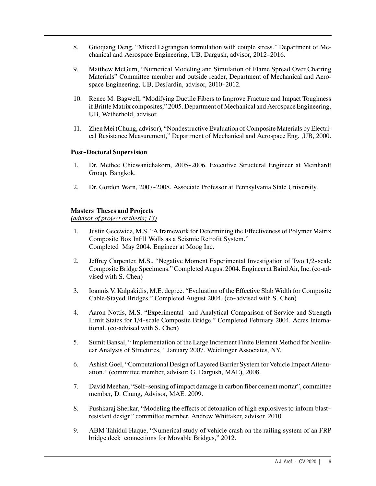- chanical and Aerospace Engineering, UB, Dargush, advisor, 2012-2016. 8. Guoqiang Deng, "Mixed Lagrangian formulation with couple stress." Department of Me-
- space Engineering, UB, DesJardin, advisor, 2010-2012. 9. Matthew McGurn, "Numerical Modeling and Simulation of Flame Spread Over Charring Materials" Committee member and outside reader, Department of Mechanical and Aero-
- 10. Renee M. Bagwell, "Modifying Ductile Fibers to Improve Fracture and Impact Toughness if Brittle Matrix composites," 2005. Department of Mechanical and Aerospace Engineering, UB, Wetherhold, advisor.
- 11. Zhen Mei (Chung, advisor), "Nondestructive Evaluation of Composite Materials by Electrical Resistance Measurement," Department of Mechanical and Aerospace Eng. ,UB, 2000.

# Post-Doctoral Supervision

- 1. Dr. Methee Chiewanichakorn, 2005-2006. Executive Structural Engineer at Meinhardt Group, Bangkok.
- 2. Dr. Gordon Warn, 2007-2008. Associate Professor at Pennsylvania State University.

# Masters Theses and Projects

(advisor of project or thesis; 13)

- 1. Justin Gecewicz, M.S. "A framework for Determining the Effectiveness of Polymer Matrix Composite Box Infill Walls as a Seismic Retrofit System." Completed May 2004. Engineer at Moog Inc.
- 2. Jeffrey Carpenter. M.S., "Negative Moment Experimental Investigation of Two 1/2 -scale CompositeBridge Specimens."Completed August 2004. Engineer at Baird Air, Inc.(co-advised with S. Chen)
- Cable-Stayed Bridges." Completed August 2004. (co-advised with S. Chen) 3. Ioannis V. Kalpakidis, M.E. degree. "Evaluation of the Effective Slab Width for Composite
- Limit States for 1/4 -scale Composite Bridge." Completed February 2004. Acres Interna-4. Aaron Nottis, M.S. "Experimental and Analytical Comparison of Service and Strength tional. (co-advised with S. Chen)
- 5. Sumit Bansal, " Implementation of the Large Increment Finite Element Method for Nonlinear Analysis of Structures," January 2007. Weidlinger Associates, NY.
- 6. Ashish Goel, "Computational Design of Layered Barrier System for Vehicle Impact Attenuation." (committee member, advisor: G. Dargush, MAE), 2008.
- 7. David Meehan, "Self-sensing of impact damage in carbon fiber cement mortar", committee member, D. Chung, Advisor, MAE. 2009.
- 8. Pushkaraj Sherkar, "Modeling the effects of detonation of high explosives to inform blastresistant design" committee member, Andrew Whittaker, advisor. 2010.
- 9. ABM Tahidul Haque, "Numerical study of vehicle crash on the railing system of an FRP bridge deck connections for Movable Bridges," 2012.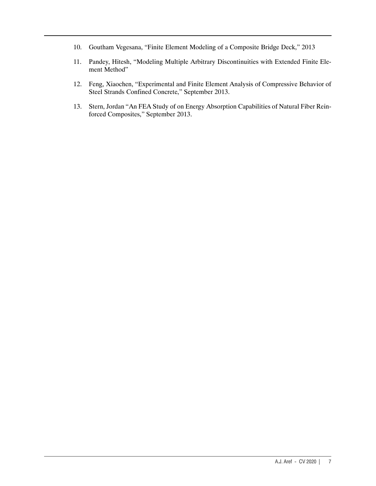- 10. Goutham Vegesana, "Finite Element Modeling of a Composite Bridge Deck," 2013
- 11. Pandey, Hitesh, "Modeling Multiple Arbitrary Discontinuities with Extended Finite Element Method"
- 12. Feng, Xiaochen, "Experimental and Finite Element Analysis of Compressive Behavior of Steel Strands Confined Concrete," September 2013.
- 13. Stern, Jordan "An FEA Study of on Energy Absorption Capabilities of Natural Fiber Reinforced Composites," September 2013.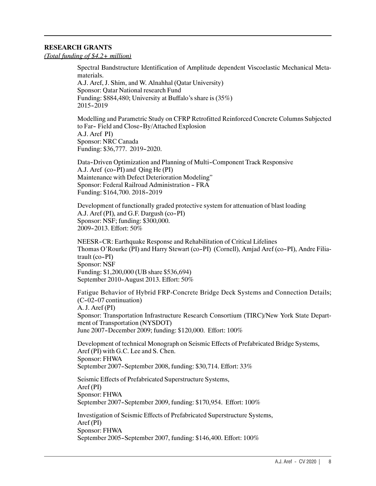# RESEARCH GRANTS

(Total funding of \$4.2+ million)

Spectral Bandstructure Identification of Amplitude dependent Viscoelastic Mechanical Metamaterials. A.J. Aref, J. Shim, and W. Alnahhal (Qatar University)

- 2015 -2019 Sponsor: Qatar National research Fund Funding: \$884,480; University at Buffalo's share is (35%)

to Far-Field and Close-By/Attached Explosion - Funding: \$36,777. 2019 -2020. Modelling and Parametric Study on CFRP Retrofitted Reinforced Concrete Columns Subjected A.J. Aref PI) Sponsor: NRC Canada

Data-Driven Optimization and Planning of Multi-Component Track Responsive A.J. Aref (co-PI) and Qing He (PI) Sponsor: Federal Railroad Administration - FRA - Funding: \$164,700. 2018 -2019 Maintenance with Defect Deterioration Modeling"

A.J. Aref (PI), and G.F. Dargush (co-PI) - 2009 -2013. Effort: 50% Development of functionally graded protective system for attenuation of blast loading Sponsor: NSF; funding: \$300,000.

NEESR-CR: Earthquake Response and Rehabilitation of Critical Lifelines Thomas O'Rourke (PI) and Harry Stewart (co-PI) (Cornell), Amjad Aref (co-PI), Andre Filiatrault (co-PI) September 2010-August 2013. Effort: 50% Sponsor: NSF Funding: \$1,200,000 (UB share \$536,694)

 $(C-02-07$  continuation) - June 2007 -December 2009; funding: \$120,000. Effort: 100% Fatigue Behavior of Hybrid FRP-Concrete Bridge Deck Systems and Connection Details; A. J. Aref (PI) Sponsor: Transportation Infrastructure Research Consortium (TIRC)/New York State Department of Transportation (NYSDOT)

- September 2007 -September 2008, funding: \$30,714. Effort: 33% Development of technical Monograph on Seismic Effects of Prefabricated Bridge Systems, Aref (PI) with G.C. Lee and S. Chen. Sponsor: FHWA

September 2007-September 2009, funding: \$170,954. Effort: 100% Seismic Effects of Prefabricated Superstructure Systems, Aref (PI) Sponsor: FHWA

September 2005-September 2007, funding: \$146,400. Effort: 100% Investigation of Seismic Effects of Prefabricated Superstructure Systems, Aref (PI) Sponsor: FHWA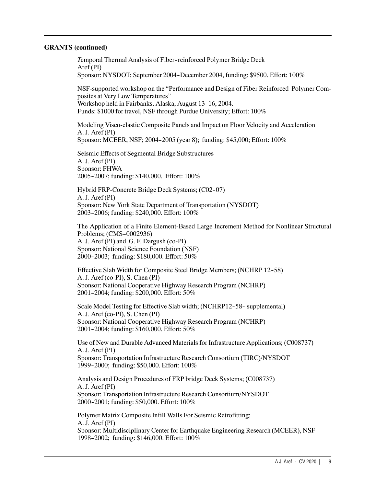#### GRANTS (continued)

- Temporal Thermal Analysis of Fiber-reinforced Polymer Bridge Deck - Sponsor: NYSDOT; September 2004 -December 2004, funding: \$9500. Effort: 100% Aref (PI)

- Workshop held in Fairbanks, Alaska, August 13 -16, 2004. NSF-supported workshop on the "Performance and Design of Fiber Reinforced Polymer Composites at Very Low Temperatures" Funds: \$1000 for travel, NSF through Purdue University; Effort: 100%

Sponsor: MCEER, NSF; 2004-2005 (year 8); funding: \$45,000; Effort: 100% Modeling Visco-elastic Composite Panels and Impact on Floor Velocity and Acceleration A. J. Aref (PI)

- 2005 -2007; funding: \$140,000. Effort: 100% Seismic Effects of Segmental Bridge Substructures A. J. Aref (PI) Sponsor: FHWA

- Hybrid FRP-Concrete Bridge Deck Systems; (C02 -07) - 2003 -2006; funding: \$240,000. Effort: 100% A. J. Aref (PI) Sponsor: New York State Department of Transportation (NYSDOT)

Problems; (CMS-0002936) - 2000 -2003; funding: \$180,000. Effort: 50% The Application of a Finite Element-Based Large Increment Method for Nonlinear Structural A. J. Aref (PI) and G. F. Dargush (co-PI) Sponsor: National Science Foundation (NSF)

- Effective Slab Width for Composite Steel Bridge Members; (NCHRP 12 -58) - 2001 -2004; funding: \$200,000. Effort: 50% A. J. Aref (co-PI), S. Chen (PI) Sponsor: National Cooperative Highway Research Program (NCHRP)

Scale Model Testing for Effective Slab width; (NCHRP12-58- supplemental) - 2001 -2004; funding: \$160,000. Effort: 50% A. J. Aref (co-PI), S. Chen (PI) Sponsor: National Cooperative Highway Research Program (NCHRP)

- 1999 -2000; funding: \$50,000. Effort: 100% Use of New and Durable Advanced Materials for Infrastructure Applications; (C008737) A. J. Aref (PI) Sponsor: Transportation Infrastructure Research Consortium (TIRC)/NYSDOT

- 2000 -2001; funding: \$50,000. Effort: 100% Analysis and Design Procedures of FRP bridge Deck Systems; (C008737) A. J. Aref (PI) Sponsor: Transportation Infrastructure Research Consortium/NYSDOT

- 1998 -2002; funding: \$146,000. Effort: 100% Polymer Matrix Composite Infill Walls For Seismic Retrofitting; A. J. Aref (PI) Sponsor: Multidisciplinary Center for Earthquake Engineering Research (MCEER), NSF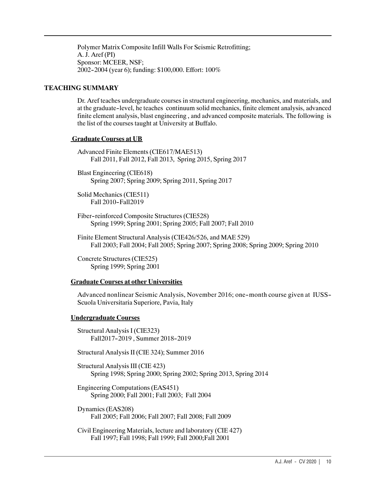- 2002 -2004 (year 6); funding: \$100,000. Effort: 100% Polymer Matrix Composite Infill Walls For Seismic Retrofitting; A. J. Aref (PI) Sponsor: MCEER, NSF;

# TEACHING SUMMARY

- at the graduate -level, he teaches continuum solid mechanics, finite element analysis, advanced Dr. Aref teaches undergraduate courses in structural engineering, mechanics, and materials, and finite element analysis, blast engineering , and advanced composite materials. The following is the list of the courses taught at University at Buffalo.

# Graduate Courses at UB

Advanced Finite Elements (CIE617/MAE513) Fall 2011, Fall 2012, Fall 2013, Spring 2015, Spring 2017

Blast Engineering (CIE618) Spring 2007; Spring 2009; Spring 2011, Spring 2017

Fall 2010-Fall 2019 Solid Mechanics (CIE511)

- Fiber-reinforced Composite Structures (CIE528) Spring 1999; Spring 2001; Spring 2005; Fall 2007; Fall 2010
- Finite Element Structural Analysis (CIE426/526, and MAE 529) Fall 2003; Fall 2004; Fall 2005; Spring 2007; Spring 2008; Spring 2009; Spring 2010

Concrete Structures(CIE525) Spring 1999; Spring 2001

# Graduate Courses at other Universities

Advanced nonlinear Seismic Analysis, November 2016; one-month course given at IUSS-Scuola Universitaria Superiore, Pavia, Italy

# Undergraduate Courses

- - Fall2017 -2019 , Summer 2018 -2019 Structural Analysis I (CIE323)

Structural Analysis II (CIE 324); Summer 2016

Structural Analysis III (CIE 423) Spring 1998; Spring 2000; Spring 2002; Spring 2013, Spring 2014

Engineering Computations (EAS451) Spring 2000; Fall 2001; Fall 2003; Fall 2004

Dynamics (EAS208) Fall 2005; Fall 2006; Fall 2007; Fall 2008; Fall 2009

Civil Engineering Materials, lecture and laboratory (CIE 427) Fall 1997; Fall 1998; Fall 1999; Fall 2000;Fall 2001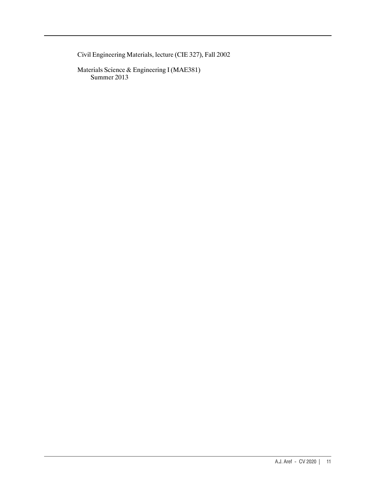Civil Engineering Materials, lecture (CIE 327), Fall 2002

Materials Science & Engineering I (MAE381) Summer 2013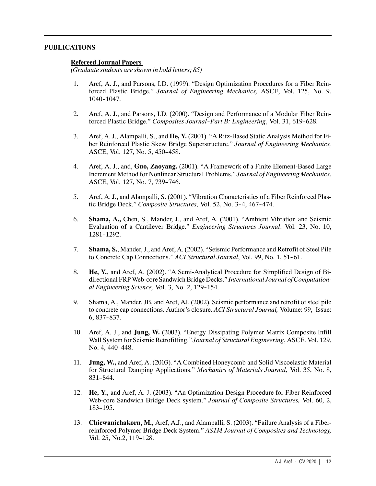#### PUBLICATIONS

### Refereed Journal Papers

(Graduate students are shown in bold letters; 85)

- 1040 -1047. 1. Aref, A. J., and Parsons, I.D. (1999). "Design Optimization Procedures for a Fiber Reinforced Plastic Bridge." Journal of Engineering Mechanics, ASCE, Vol. 125, No. 9,
- forced Plastic Bridge." Composites Journal-Part B: Engineering, Vol. 31, 619-628. 2. Aref, A. J., and Parsons, I.D. (2000). "Design and Performance of a Modular Fiber Rein-
- ASCE, Vol. 127, No. 5, 450-458. 3. Aref, A. J., Alampalli, S., and He, Y. (2001). "A Ritz-Based Static Analysis Method for Fiber Reinforced Plastic Skew Bridge Superstructure." Journal of Engineering Mechanics,
- ASCE, Vol. 127, No. 7, 739 -746. 4. Aref, A. J., and, Guo, Zaoyang. (2001). "A Framework of a Finite Element-Based Large Increment Method for Nonlinear Structural Problems." Journal of Engineering Mechanics,
- tic Bridge Deck." Composite Structures, Vol. 52, No. 3-4, 467-474. 5. Aref, A. J., and Alampalli, S. (2001). "Vibration Characteristics of a Fiber Reinforced Plas-
- 1281 -1292. 6. Shama, A., Chen, S., Mander, J., and Aref, A. (2001). "Ambient Vibration and Seismic Evaluation of a Cantilever Bridge." Engineering Structures Journal. Vol. 23, No. 10,
- to Concrete Cap Connections." ACI Structural Journal, Vol. 99, No. 1, 51-61. 7. Shama, S., Mander,J., and Aref, A. (2002). "Seismic Performance and Retrofit of Steel Pile
- al Engineering Science, Vol. 3, No. 2, 129-154. 8. He, Y., and Aref, A. (2002). "A Semi-Analytical Procedure for Simplified Design of Bidirectional FRP Web-core Sandwich Bridge Decks." International Journal of Computation-
- 6, 837 -837. 9. Shama, A., Mander, JB, and Aref, AJ. (2002). Seismic performance and retrofit of steel pile to concrete cap connections. Author's closure. ACI Structural Journal, Volume: 99, Issue:
- No. 4, 440-448. 10. Aref, A. J., and Jung, W. (2003). "Energy Dissipating Polymer Matrix Composite Infill Wall System for Seismic Retrofitting." Journal of Structural Engineering, ASCE. Vol. 129,
- 831 -844. 11. Jung, W., and Aref, A. (2003). "A Combined Honeycomb and Solid Viscoelastic Material for Structural Damping Applications." Mechanics of Materials Journal, Vol. 35, No. 8,
- 183 -195. 12. He, Y., and Aref, A. J. (2003). "An Optimization Design Procedure for Fiber Reinforced Web-core Sandwich Bridge Deck system." Journal of Composite Structures, Vol. 60, 2,
- Vol. 25, No.2, 119-128. 13. Chiewanichakorn, M., Aref, A.J., and Alampalli, S. (2003). "Failure Analysis of a Fiberreinforced Polymer Bridge Deck System." ASTM Journal of Composites and Technology,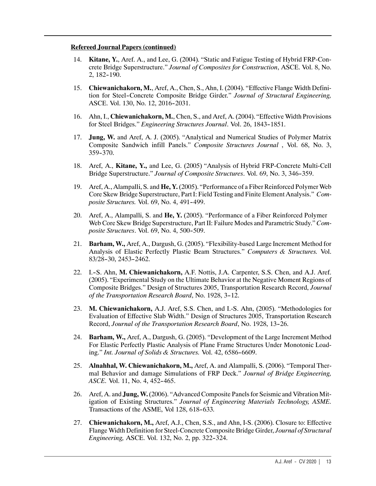- 2, 182 -190. 14. Kitane, Y., Aref. A., and Lee, G. (2004). "Static and Fatigue Testing of Hybrid FRP-Concrete Bridge Superstructure." Journal of Composites for Construction, ASCE. Vol. 8, No.
- tion for Steel-Concrete Composite Bridge Girder." Journal of Structural Engineering, - ASCE. Vol. 130, No. 12, 2016 -2031. 15. Chiewanichakorn, M., Aref, A., Chen, S., Ahn, I. (2004). "Effective Flange Width Defini-
- for Steel Bridges." Engineering Structures Journal. Vol. 26, 1843-1851. 16. Ahn, I., Chiewanichakorn, M., Chen, S., and Aref, A. (2004). "Effective Width Provisions
- 359 -370. 17. Jung, W. and Aref, A. J. (2005). "Analytical and Numerical Studies of Polymer Matrix Composite Sandwich infill Panels." Composite Structures Journal , Vol. 68, No. 3,
- Bridge Superstructure." Journal of Composite Structures. Vol. 69, No. 3, 346-359. 18. Aref, A., Kitane, Y., and Lee, G. (2005) "Analysis of Hybrid FRP-Concrete Multi-Cell
- posite Structures. Vol. 69, No. 4, 491-499. 19. Aref, A., Alampalli, S. and He, Y. (2005). "Performance of a Fiber Reinforced Polymer Web Core Skew Bridge Superstructure, Part I: Field Testing and Finite Element Analysis." Com-
- posite Structures. Vol. 69, No. 4, 500-509. 20. Aref, A., Alampalli, S. and He, Y. (2005). "Performance of a Fiber Reinforced Polymer Web Core Skew Bridge Superstructure, Part II: Failure Modes and Parametric Study." Com-
- 83/28-30, 2453-2462. 21. Barham, W., Aref, A., Dargush, G. (2005). "Flexibility-based Large Increment Method for Analysis of Elastic Perfectly Plastic Beam Structures." Computers & Structures. Vol.
- 22. I.-S. Ahn, M. Chiewanichakorn, A.F. Nottis, J.A. Carpenter, S.S. Chen, and A.J. Aref. of the Transportation Research Board, No. 1928, 3-12. (2005). "Experimental Study on the Ultimate Behavior at the Negative Moment Regions of Composite Bridges." Design of Structures 2005, Transportation Research Record, Journal
- Record, Journal of the Transportation Research Board, No. 1928, 13-26. 23. M. Chiewanichakorn, A.J. Aref, S.S. Chen, and I.-S. Ahn, (2005). "Methodologies for Evaluation of Effective Slab Width." Design of Structures 2005, Transportation Research
- ing." Int. Journal of Solids & Structures. Vol. 42, 6586-6609. 24. Barham, W., Aref, A., Dargush, G. (2005). "Development of the Large Increment Method For Elastic Perfectly Plastic Analysis of Plane Frame Structures Under Monotonic Load-
- ASCE. Vol. 11, No. 4, 452-465. 25. Alnahhal, W. Chiewanichakorn, M., Aref, A. and Alampalli, S. (2006). "Temporal Thermal Behavior and damage Simulations of FRP Deck." Journal of Bridge Engineering,
- Transactions of the ASME, Vol 128, 618-633. 26. Aref, A. and Jung, W. (2006). "Advanced Composite Panels for Seismic and Vibration Mitigation of Existing Structures." Journal of Engineering Materials Technology, ASME.
- Engineering, ASCE. Vol. 132, No. 2, pp. 322-324. 27. Chiewanichakorn, M., Aref, A.J., Chen, S.S., and Ahn, I-S. (2006). Closure to: Effective Flange Width Definition for Steel-Concrete Composite Bridge Girder, Journal of Structural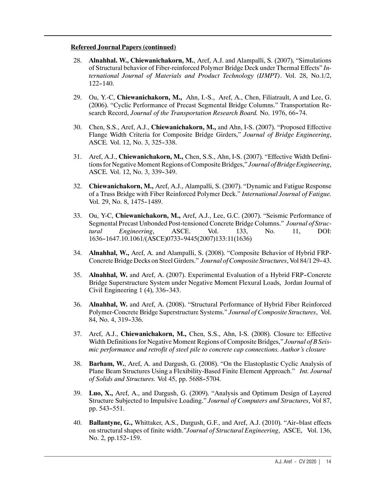- 122 -140. 28. Alnahhal. W., Chiewanichakorn, M., Aref, A.J. and Alampalli, S. (2007), "Simulations of Structural behavior of Fiber-reinforced Polymer Bridge Deck under Thermal Effects" International Journal of Materials and Product Technology (IJMPT). Vol. 28, No.1/2,
- search Record, Journal of the Transportation Research Board. No. 1976, 66-74. 29. Ou, Y.-C, Chiewanichakorn, M., Ahn, I.-S., Aref, A., Chen, Filiatrault, A and Lee, G. (2006). "Cyclic Performance of Precast Segmental Bridge Columns." Transportation Re-
- ASCE. Vol. 12, No. 3, 325 -338. 30. Chen, S.S., Aref, A.J., Chiewanichakorn, M., and Ahn, I-S. (2007). "Proposed Effective Flange Width Criteria for Composite Bridge Girders," Journal of Bridge Engineering,
- ASCE. Vol. 12, No. 3, 339 -349. 31. Aref, A.J., Chiewanichakorn, M., Chen, S.S., Ahn, I-S. (2007). "Effective Width Definitions for Negative Moment Regions of Composite Bridges," Journal of Bridge Engineering,
- Vol. 29, No. 8, 1475-1489. 32. Chiewanichakorn, M., Aref, A.J., Alampalli, S. (2007). "Dynamic and Fatigue Response of a Truss Bridge with Fiber Reinforced Polymer Deck." International Journal of Fatigue.
- - 1636 -1647.10.1061/(ASCE)0733 -9445(2007)133:11(1636) 33. Ou, Y-C, Chiewanichakorn, M., Aref, A.J., Lee, G.C. (2007). "Seismic Performance of Segmental Precast Unbonded Post-tensioned Concrete Bridge Columns." Journal of Structural Engineering, ASCE. Vol. 133, No. 11, DOI:
- Concrete Bridge Decks on Steel Girders." Journal of Composite Structures, Vol 84/1 29-43. 34. Alnahhal, W., Aref, A. and Alampalli, S. (2008). "Composite Behavior of Hybrid FRP-
- 35. Alnahhal, W. and Aref, A. (2007). Experimental Evaluation of a Hybrid FRP-Concrete Civil Engineering 1 (4), 336-343. Bridge Superstructure System under Negative Moment Flexural Loads, Jordan Journal of
- 84, No. 4, 319-336. 36. Alnahhal, W. and Aref, A. (2008). "Structural Performance of Hybrid Fiber Reinforced Polymer-Concrete Bridge Superstructure Systems." Journal of Composite Structures, Vol.
- 37. Aref, A.J., Chiewanichakorn, M., Chen, S.S., Ahn, I-S. (2008). Closure to: Effective Width Definitions for Negative Moment Regions of Composite Bridges," Journal of B Seismic performance and retrofit of steel pile to concrete cap connections. Author's closure
- of Solids and Structures. Vol 45, pp. 5688-5704. 38. Barham, W., Aref, A. and Dargush, G. (2008). "On the Elastoplastic Cyclic Analysis of Plane Beam Structures Using a Flexibility-Based Finite Element Approach." Int. Journal
- pp. 543-551. 39. Luo, X., Aref, A., and Dargush, G. (2009). "Analysis and Optimum Design of Layered Structure Subjected to Impulsive Loading." Journal of Computers and Structures, Vol 87,
- 40. Ballantyne, G., Whittaker, A.S., Dargush, G.F., and Aref, A.J. (2010). "Air-blast effects No. 2, pp.152-159. on structural shapes of finite width."Journal of Structural Engineering, ASCE, Vol. 136,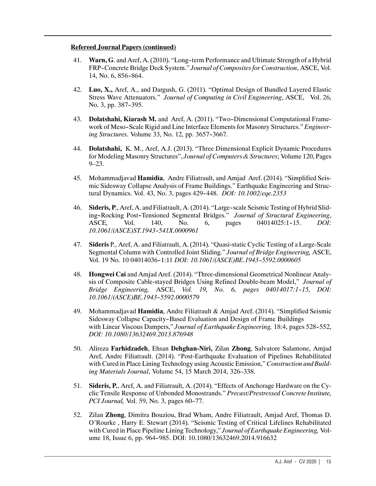- 41. Warn, G. and Aref, A. (2010). "Long-term Performance and Ultimate Strength of a Hybrid FRP-Concrete Bridge Deck System." Journal of Composites for Construction, ASCE, Vol. 14, No. 6, 856-864.
- No. 3, pp. 387-395. 42. Luo, X., Aref, A., and Dargush, G. (2011). "Optimal Design of Bundled Layered Elastic Stress Wave Attenuators." Journal of Computing in Civil Engineering, ASCE, Vol. 26,
- 43. Dolatshahi, Kiarash M. and Aref, A. (2011). "Two-Dimensional Computational Framework of Meso-Scale Rigid and Line Interface Elements for Masonry Structures." Engineering Structures. Volume 33, No. 12, pp. 3657-3667.
- 44. Dolatshahi, K. M., Aref, A.J. (2013). "Three Dimensional Explicit Dynamic Procedures for Modeling Masonry Structures", Journal of Computers & Structures; Volume 120, Pages  $9 - 23$ .
- tural Dynamics. Vol. 43, No. 3, pages 429-448. *DOI: 10.1002/eqe.2353* 45. Mohammadjavad Hamidia, Andre Filiatrault, and Amjad Aref. (2014). "Simplified Seismic Sidesway Collapse Analysis of Frame Buildings." Earthquake Engineering and Struc-
- 46. Sideris, P., Aref, A. and Filiatrault, A. (2014). "Large-scale Seismic Testing of Hybrid Sliding-Rocking Post-Tensioned Segmental Bridges." Journal of Structural Engineering, ASCE, Vol. 140, No. 6, pages 04014025:1-15. *DOI*: - 10.1061/(ASCE)ST.1943 -541X.0000961
- Vol. 19 No. 10 04014036-1:11 DOI: 10.1061/(ASCE)BE.1943-5592.0000605 47. Sideris P., Aref, A. and Filiatrault, A. (2014). "Quasi-static Cyclic Testing of a Large-Scale Segmental Column with Controlled Joint Sliding." Journal of Bridge Engineering, ASCE,
- Bridge Engineering, ASCE, Vol. 19, No. 6, pages 04014017:1-15, DOI: - 10.1061/(ASCE)BE.1943 -5592.0000579 48. Hongwei Cai and Amjad Aref. (2014). "Three-dimensional Geometrical Nonlinear Analysis of Composite Cable-stayed Bridges Using Refined Double-beam Model," Journal of
- Sidesway Collapse Capacity-Based Evaluation and Design of Frame Buildings with Linear Viscous Dampers," Journal of Earthquake Engineering, 18:4, pages 528-552, 49. Mohammadjavad Hamidia, Andre Filiatrault & Amjad Aref. (2014). "Simplified Seismic DOI: 10.1080/13632469.2013.876948
- 50. Alireza Farhidzadeh, Ehsan Dehghan-Niri, Zilan Zhong, Salvatore Salamone, Amjad Aref, Andre Filiatrault. (2014). "Post-Earthquake Evaluation of Pipelines Rehabilitated with Cured in Place Lining Technology using Acoustic Emission," Construction and Building Materials Journal, Volume 54, 15 March 2014, 326–338.
- PCI Journal, Vol. 59, No. 3, pages 60-77. 51. Sideris, P., Aref, A. and Filiatrault, A. (2014). "Effects of Anchorage Hardware on the Cyclic Tensile Response of Unbonded Monostrands." Precast/Prestressed Concrete Institute,
- ume 18, Issue 6, pp. 964-985. DOI: 10.1080/13632469.2014.916632 52. Zilan Zhong, Dimitra Bouziou, Brad Wham, Andre Filiatrault, Amjad Aref, Thomas D. O'Rourke , Harry E. Stewart (2014). "Seismic Testing of Critical Lifelines Rehabilitated with Cured in Place Pipeline Lining Technology," Journal of Earthquake Engineering, Vol-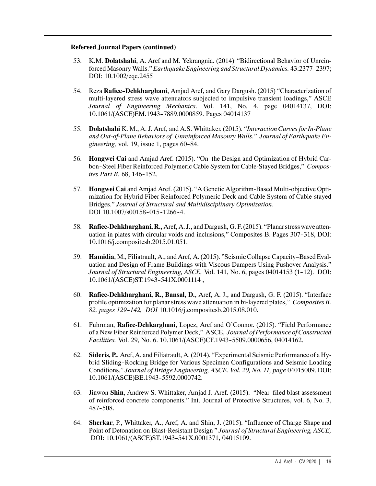- 53. K.M. Dolatshahi, A. Aref and M. Yekrangnia. (2014). "Bidirectional Behavior of Unreinforced Masonry Walls." Earthquake Engineering and Structural Dynamics. 43:2377–2397; DOI: 10.1002/eqe.2455
- 54. Reza Rafiee-Dehkharghani, Amjad Aref, and Gary Dargush. (2015) "Characterization of - 10.1061/(ASCE)EM.1943 -7889.0000859. Pages 04014137 multi-layered stress wave attenuators subjected to impulsive transient loadings," ASCE Journal of Engineering Mechanics. Vol. 141, No. 4, page 04014137, DOI:
- gineering, vol. 19, issue 1, pages 60-84. 55. Dolatshahi K. M., A. J. Aref, and A.S. Whittaker. (2015). "Interaction Curves for In-Plane and Out-of-Plane Behaviors of Unreinforced Masonry Walls." Journal of Earthquake En-
- bon-Steel Fiber Reinforced Polymeric Cable System for Cable-Stayed Bridges," Composites Part B. 68, 146-152. 56. Hongwei Cai and Amjad Aref. (2015). "On the Design and Optimization of Hybrid Car-
- DOI 10.1007/s00158-015-1266-4. 57. Hongwei Cai and Amjad Aref. (2015). "A Genetic Algorithm-Based Multi-objective Optimization for Hybrid Fiber Reinforced Polymeric Deck and Cable System of Cable-stayed Bridges." Journal of Structural and Multidisciplinary Optimization.
- uation in plates with circular voids and inclusions," Composites B. Pages 307-318, DOI: 58. Rafiee-Dehkharghani, R., Aref, A. J., and Dargush, G. F. (2015). "Planar stress wave atten-10.1016/j.compositesb.2015.01.051.
- Journal of Structural Engineering, ASCE, Vol. 141, No. 6, pages 04014153 (1-12). DOI: - 10.1061/(ASCE)ST.1943 -541X.0001114 , 59. Hamidia, M., Filiatrault, A., and Aref, A.(2015). "SeismicCollapse Capacity–BasedEvaluation and Design of Frame Buildings with Viscous Dampers Using Pushover Analysis."
- 82, pages 129-142, DOI 10.1016/j.compositesb.2015.08.010. 60. Rafiee-Dehkharghani, R., Bansal, D., Aref, A. J., and Dargush, G. F. (2015). "Interface profile optimization for planar stress wave attenuation in bi-layered plates," *Composites B*.
- Facilities. Vol. 29, No. 6. 10.1061/(ASCE)CF.1943-5509.0000656, 04014162. 61. Fuhrman, Rafiee-Dehkarghani, Lopez, Aref and O'Connor. (2015). "Field Performance of a New Fiber Reinforced Polymer Deck," ASCE, Journal of Performance ofConstructed
- brid Sliding-Rocking Bridge for Various Specimen Configurations and Seismic Loading - 10.1061/(ASCE)BE.1943 -5592.0000742. 62. Sideris, P., Aref, A. and Filiatrault, A. (2014). "Experimental Seismic Performance of a Hy-Conditions." Journal of Bridge Engineering, ASCE. Vol. 20, No. 11, page 04015009. DOI:
- 63. Jinwon Shin, Andrew S. Whittaker, Amjad J. Aref. (2015). "Near-filed blast assessment - 487 -508. of reinforced concrete components." Int. Journal of Protective Structures, vol. 6, No. 3,
- DOI: 10.1061/(ASCE)ST.1943 -541X.0001371, 04015109. 64. Sherkar, P., Whittaker, A., Aref, A. and Shin, J. (2015). "Influence of Charge Shape and Point of Detonation on Blast-Resistant Design " Journal of Structural Engineering, ASCE,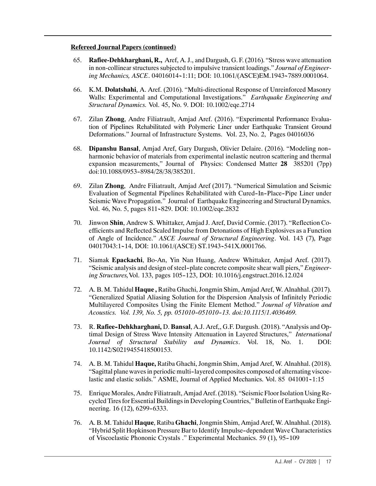- ing Mechanics, ASCE. 04016014-1:11; DOI: 10.1061/(ASCE)EM.1943-7889.0001064. 65. Rafiee-Dehkharghani, R., Aref, A.J., and Dargush, G. F. (2016). "Stress wave attenuation in non-collinear structures subjected to impulsive transient loadings." Journal of Engineer-
- 66. K.M. Dolatshahi, A. Aref. (2016). "Multi-directional Response of Unreinforced Masonry Walls: Experimental and Computational Investigations." Earthquake Engineering and Structural Dynamics. Vol. 45, No. 9. DOI: 10.1002/eqe.2714
- 67. Zilan Zhong, Andre Filiatrault, Amjad Aref. (2016). "Experimental Performance Evaluation of Pipelines Rehabilitated with Polymeric Liner under Earthquake Transient Ground Deformations." Journal of Infrastructure Systems. Vol. 23, No. 2, Pages 04016036
- 68. Dipanshu Bansal, Amjad Aref, Gary Dargush, Olivier Delaire. (2016). "Modeling non-- doi:10.1088/0953 -8984/28/38/385201. harmonic behavior of materials from experimental inelastic neutron scattering and thermal expansion measurements," Journal of Physics: Condensed Matter 28 385201 (7pp)
- Evaluation of Segmental Pipelines Rehabilitated with Cured-In-Place-Pipe Liner under Vol. 46, No. 5, pages 811-829. DOI: 10.1002/eqe.2832 69. Zilan Zhong, Andre Filiatrault, Amjad Aref (2017). "Numerical Simulation and Seismic Seismic Wave Propagation." Journal of Earthquake Engineering and Structural Dynamics.
- 04017043:1-14, DOI: 10.1061/(ASCE) ST.1943-541X.0001766. 70. Jinwon Shin, Andrew S. Whittaker, Amjad J. Aref, David Cormie. (2017). "Reflection Coefficients and Reflected Scaled Impulse from Detonations of High Explosives as a Function of Angle of Incidence." ASCE Journal of Structural Engineering. Vol. 143 (7), Page
- "Seismic analysis and design of steel-plate concrete composite shear wall piers," Engineer-- ing Structures,Vol. 133, pages 105 -123, DOI: 10.1016/j.engstruct.2016.12.024 71. Siamak Epackachi, Bo-An, Yin Nan Huang, Andrew Whittaker, Amjad Aref. (2017).
- Acoustics. Vol. 139, No. 5, pp. 051010-051010-13. doi:10.1115/1.4036469. 72. A. B. M. Tahidul Haque , Ratiba Ghachi,Jongmin Shim, Amjad Aref, W. Alnahhal.(2017). "Generalized Spatial Aliasing Solution for the Dispersion Analysis of Infinitely Periodic Multilayered Composites Using the Finite Element Method." Journal of Vibration and
- 73. R. Rafiee-Dehkharghani, D. Bansal, A.J. Aref,, G.F. Dargush. (2018). "Analysis and Optimal Design of Stress Wave Intensity Attenuation in Layered Structures," International Journal of Structural Stability and Dynamics. Vol. 18, No. 1. DOI: 10.1142/S0219455418500153.
- "Sagittal plane waves in periodic multi-layered composites composed of alternating viscoelastic and elastic solids." ASME, Journal of Applied Mechanics. Vol. 85 041001-1:15 74. A. B. M. Tahidul Haque, Ratiba Ghachi,Jongmin Shim, Amjad Aref, W. Alnahhal. (2018).
- neering. 16 (12), 6299-6333. 75. Enrique Morales, Andre Filiatrault, Amjad Aref. (2018). "Seismic Floor Isolation Using Recycled Tires for Essential Buildings in Developing Countries," Bulletin of Earthquake Engi-
- "Hybrid Split Hopkinson Pressure Bar to Identify Impulse-dependent Wave Characteristics of Viscoelastic Phononic Crystals ." Experimental Mechanics. 59 (1), 95-109 76. A. B. M. Tahidul Haque,RatibaGhachi,Jongmin Shim, Amjad Aref, W. Alnahhal.(2018).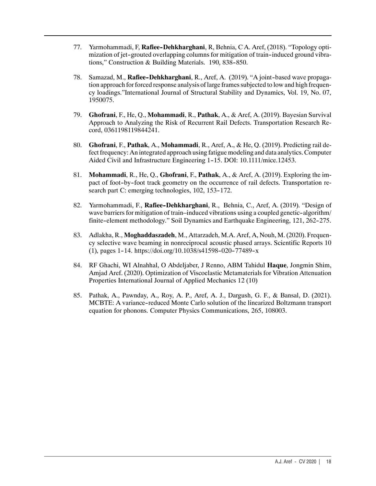- 77. Yarmohammadi, F, Rafiee-Dehkharghani, R, Behnia, CA. Aref, (2018). "Topology optimization of jet-grouted overlapping columns for mitigation of train-induced ground vibrations," Construction & Building Materials. 190, 838-850.
- 78. Samazad, M., Rafiee-Dehkharghani, R., Aref, A. (2019). "A joint-based wave propagation approach for forced response analysis of large frames subjected to low and high frequency loadings."International Journal of Structural Stability and Dynamics, Vol. 19, No. 07, 1950075.
- 79. Ghofrani, F., He, Q., Mohammadi, R., Pathak, A., & Aref, A. (2019). Bayesian Survival Approach to Analyzing the Risk of Recurrent Rail Defects. Transportation Research Record, 0361198119844241.
- Aided Civil and Infrastructure Engineering 1-15. DOI: 10.1111/mice.12453. 80. Ghofrani, F., Pathak, A., Mohammadi, R., Aref, A., & He, Q. (2019). Predicting rail defect frequency: An integrated approach using fatigue modeling and data analytics. Computer
- pact of foot-by-foot track geometry on the occurrence of rail defects. Transportation research part C: emerging technologies, 102, 153-172. 81. Mohammadi, R., He, Q., Ghofrani, F., Pathak, A., & Aref, A. (2019). Exploring the im-
- 82. Yarmohammadi, F., Rafiee-Dehkharghani, R., Behnia, C., Aref, A. (2019). "Design of wave barriers for mitigation of train–induced vibrations using a coupled genetic-algorithm/ finite-element methodology." Soil Dynamics and Earthquake Engineering, 121, 262-275.
- - - (1), pages 1 -14. <https://doi.org/10.1038/s41598> -020 -77489 -x 83. Adlakha, R., Moghaddaszadeh, M., Attarzadeh, M.A. Aref, A, Nouh, M. (2020). Frequency selective wave beaming in nonreciprocal acoustic phased arrays. Scientific Reports 10
- 84. RF Ghachi, WI Alnahhal, O Abdeljaber, J Renno, ABM Tahidul Haque, Jongmin Shim, Amjad Aref. (2020). Optimization of Viscoelastic Metamaterials for Vibration Attenuation Properties International Journal of Applied Mechanics 12 (10)
- MCBTE: A variance-reduced Monte Carlo solution of the linearized Boltzmann transport 85. Pathak, A., Pawnday, A., Roy, A. P., Aref, A. J., Dargush, G. F., & Bansal, D. (2021). equation for phonons. Computer Physics Communications, 265, 108003.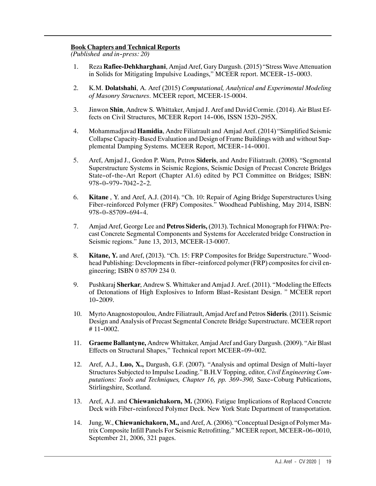# Book Chapters and Technical Reports

(Published and in-press: 20)

- in Solids for Mitigating Impulsive Loadings," MCEER report. MCEER-15-0003. 1. Reza Rafiee-Dehkharghani, Amjad Aref, Gary Dargush. (2015) "Stress Wave Attenuation
- 2. K.M. Dolatshahi, A. Aref (2015) Computational, Analytical and Experimental Modeling of Masonry Structures. MCEER report, MCEER-15-0004.
- fects on Civil Structures, MCEER Report 14-006, ISSN 1520-295X. 3. Jinwon Shin, Andrew S. Whittaker, Amjad J. Aref and David Cormie. (2014). Air Blast Ef-
- plemental Damping Systems. MCEER Report, MCEER-14-0001. 4. Mohammadjavad Hamidia, Andre Filiatrault and Amjad Aref.(2014) "Simplified Seismic Collapse Capacity-Based Evaluation and Design of Frame Buildings with and without Sup-
- State-of-the-Art Report (Chapter A1.6) edited by PCI Committee on Bridges; ISBN: - - - - - 978 -0 -979 -7042 -2 -2. 5. Aref, Amjad J., Gordon P. Warn, Petros Sideris, and Andre Filiatrault. (2008). "Segmental Superstructure Systems in Seismic Regions, Seismic Design of Precast Concrete Bridges
- Fiber-reinforced Polymer (FRP) Composites." Woodhead Publishing, May 2014, ISBN: - - - - 978 -0 -85709 -694 -4. 6. Kitane , Y. and Aref, A.J. (2014). "Ch. 10: Repair of Aging Bridge Superstructures Using
- 7. Amjad Aref, George Lee and Petros Sideris, (2013). Technical Monograph for FHWA: Precast Concrete Segmental Components and Systems for Accelerated bridge Construction in Seismic regions." June 13, 2013, MCEER-13-0007.
- head Publishing: Developments in fiber-reinforced polymer (FRP) composites for civil en-8. Kitane, Y. and Aref, (2013). "Ch. 15: FRP Composites for Bridge Superstructure." Woodgineering; ISBN 0 85709 234 0.
- of Detonations of High Explosives to Inform Blast-Resistant Design. " MCEER report - 10 -2009. 9. Pushkaraj Sherkar, Andrew S. Whittaker and Amjad J. Aref. (2011). "Modeling the Effects
- # 11 -0002. 10. Myrto Anagnostopoulou, Andre Filiatrault, Amjad Aref and Petros Sideris.(2011). Seismic Design and Analysis of Precast Segmental Concrete Bridge Superstructure. MCEER report
- Effects on Structural Shapes," Technical report MCEER-09-002. 11. Graeme Ballantyne, Andrew Whittaker, Amjad Aref and Gary Dargush. (2009). "Air Blast
- 12. Aref, A.J., Luo, X., Dargush, G.F. (2007). "Analysis and optimal Design of Multi-layer putations: Tools and Techniques, Chapter 16, pp. 369-390, Saxe-Coburg Publications, Structures Subjected to Impulse Loading." B.H.V Topping, editor, Civil Engineering Com-Stirlingshire, Scotland.
- Deck with Fiber-reinforced Polymer Deck. New York State Department of transportation. 13. Aref, A.J. and Chiewanichakorn, M. (2006). Fatigue Implications of Replaced Concrete
- trix Composite Infill Panels For Seismic Retrofitting." MCEER report, MCEER-06-0010, 14. Jung, W., Chiewanichakorn, M., and Aref, A. (2006). "Conceptual Design of Polymer Ma-September 21, 2006, 321 pages.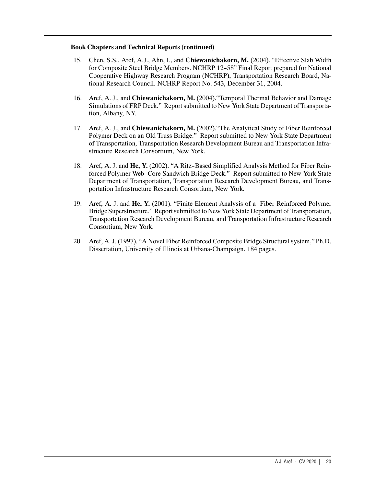# Book Chapters and Technical Reports (continued)

- for Composite Steel Bridge Members. NCHRP 12-58" Final Report prepared for National 15. Chen, S.S., Aref, A.J., Ahn, I., and Chiewanichakorn, M. (2004). "Effective Slab Width Cooperative Highway Research Program (NCHRP), Transportation Research Board, National Research Council. NCHRP Report No. 543, December 31, 2004.
- 16. Aref, A. J., and Chiewanichakorn, M. (2004)."Temporal Thermal Behavior and Damage Simulations of FRP Deck." Report submitted to New York State Department of Transportation, Albany, NY.
- 17. Aref, A. J., and Chiewanichakorn, M. (2002)."The Analytical Study of Fiber Reinforced Polymer Deck on an Old Truss Bridge." Report submitted to New York State Department of Transportation, Transportation Research Development Bureau and Transportation Infrastructure Research Consortium, New York.
- 18. Aref, A. J. and He, Y. (2002). "A Ritz-Based Simplified Analysis Method for Fiber Reinforced Polymer Web-Core Sandwich Bridge Deck." Report submitted to New York State Department of Transportation, Transportation Research Development Bureau, and Transportation Infrastructure Research Consortium, New York.
- 19. Aref, A. J. and He, Y. (2001). "Finite Element Analysis of a Fiber Reinforced Polymer Bridge Superstructure." Report submitted to New York State Department of Transportation, Transportation Research Development Bureau, and Transportation Infrastructure Research Consortium, New York.
- 20. Aref, A. J. (1997). "A Novel Fiber Reinforced Composite Bridge Structuralsystem," Ph.D. Dissertation, University of Illinois at Urbana-Champaign. 184 pages.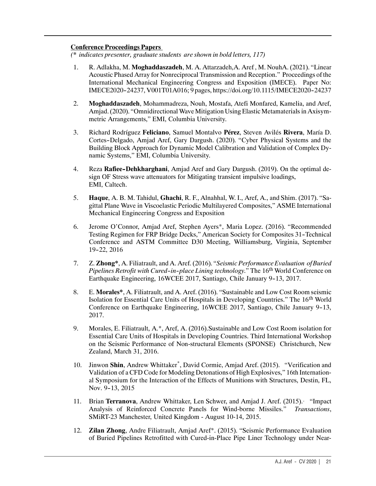# Conference Proceedings Papers

(\* indicates presenter, graduate students are shown in bold letters, 117)

- - IMECE2020 -24237, V001T01A016; 9 pages, <https://doi.org/10.1115/IMECE2020> -24237 1. R. Adlakha, M. Moghaddaszadeh, M. A. Attarzadeh,A. Aref , M. NouhA. (2021). "Linear Acoustic Phased Array for Nonreciprocal Transmission and Reception." Proceedings ofthe International Mechanical Engineering Congress and Exposition (IMECE). Paper No:
- 2. Moghaddaszadeh, Mohammadreza, Nouh, Mostafa, Atefi Monfared, Kamelia, and Aref, Amjad. (2020). "Omnidirectional Wave Mitigation Using Elastic Metamaterials in Axisymmetric Arrangements," EMI, Columbia University.
- Cortes-Delgado, Amjad Aref, Gary Dargush. (2020). "Cyber Physical Systems and the 3. Richard Rodríguez Feliciano, Samuel Montalvo Pérez, Steven Avilés Rivera, María D. Building Block Approach for Dynamic Model Calibration and Validation of Complex Dynamic Systems," EMI, Columbia University.
- 4. Reza Rafiee-Dehkharghani, Amjad Aref and Gary Dargush. (2019). On the optimal design OF Stress wave attenuators for Mitigating transient impulsive loadings, EMI, Caltech.
- 5. Haque, A. B. M. Tahidul, Ghachi, R. F., Alnahhal, W. I., Aref, A., and Shim. (2017). "Sagittal Plane Wave in Viscoelastic Periodic Multilayered Composites," ASME International Mechanical Engineering Congress and Exposition
- Testing Regimen for FRP Bridge Decks," American Society for Composites 31 -Technical - 19 -22, 2016 6. Jerome O'Connor, Amjad Aref, Stephen Ayers\*, Maria Lopez. (2016). "Recommended Conference and ASTM Committee D30 Meeting, Williamsburg, Virginia, September
- Pipelines Retrofit with Cured-in-place Lining technology." The 16<sup>th</sup> World Conference on Earthquake Engineering, 16WCEE 2017, Santiago, Chile January 9-13, 2017. 7. Z. Zhong\*, A. Filiatrault, and A. Aref. (2016). "Seismic Performance Evaluation of Buried
- Conference on Earthquake Engineering, 16WCEE 2017, Santiago, Chile January 9-13, 8. E. Morales\*, A. Filiatrault, and A. Aref. (2016). "Sustainable and Low Cost Room seismic Isolation for Essential Care Units of Hospitals in Developing Countries." The 16<sup>th</sup> World 2017.
- 9. Morales, E. Filiatrault, A.\*, Aref, A. (2016).Sustainable and Low Cost Room isolation for Essential Care Units of Hospitals in Developing Countries. Third International Workshop on the Seismic Performance of Non-structural Elements (SPONSE) Christchurch, New Zealand, March 31, 2016.
- Nov. 9-13, 2015 10. Jinwon Shin, Andrew Whittaker\*, David Cormie, Amjad Aref. (2015). "Verification and Validation of a CFD Code for Modeling Detonations of High Explosives," 16th International Symposium for the Interaction of the Effects of Munitions with Structures, Destin, FL,
- 11. Brian Terranova, Andrew Whittaker, Len Schwer, and Amjad J. Aref. (2015). "Impact Analysis of Reinforced Concrete Panels for Wind-borne Missiles." Transactions, SMiRT-23 Manchester, United Kingdom - August 10-14, 2015.
- 12. Zilan Zhong, Andre Filiatrault, Amjad Aref\*. (2015). "Seismic Performance Evaluation of Buried Pipelines Retrofitted with Cured-in-Place Pipe Liner Technology under Near-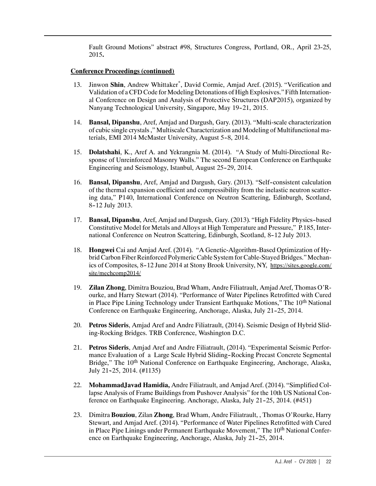Fault Ground Motions" abstract #98, Structures Congress, Portland, OR., April 23-25, 2015.

- Nanyang Technological University, Singapore, May 19-21, 2015. 13. Jinwon Shin, Andrew Whittaker<sup>\*</sup>, David Cormie, Amjad Aref. (2015). "Verification and Validation of a CFD Code for Modeling Detonations of High Explosives." Fifth International Conference on Design and Analysis of Protective Structures (DAP2015), organized by
- terials, EMI 2014 McMaster University, August 5-8, 2014. 14. Bansal, Dipanshu, Aref, Amjad and Dargush, Gary. (2013). "Multi-scale characterization of cubic single crystals," Multiscale Characterization and Modeling of Multifunctional ma-
- Engineering and Seismology, Istanbul, August 25 -29, 2014. 15. Dolatshahi, K., Aref A. and Yekrangnia M. (2014). "A Study of Multi-Directional Response of Unreinforced Masonry Walls." The second European Conference on Earthquake
- 16. Bansal, Dipanshu, Aref, Amjad and Dargush, Gary. (2013). "Self-consistent calculation - 8 -12 July 2013. of the thermal expansion coefficient and compressibility from the inelastic neutron scattering data," P140, International Conference on Neutron Scattering, Edinburgh, Scotland,
- 17. Bansal, Dipanshu, Aref, Amjad and Dargush, Gary. (2013). "High Fidelity Physics-based national Conference on Neutron Scattering, Edinburgh, Scotland, 8-12 July 2013. Constitutive Model for Metals and Alloys at High Temperature and Pressure," P.185, Inter-
- ics of Composites, 8-12 June 2014 at Stony Brook University, NY, [https://sites.google.com/](https://sites.google.com) 18. Hongwei Cai and Amjad Aref. (2014). "A Genetic-Algorithm-Based Optimization of Hybrid Carbon Fiber Reinforced Polymeric Cable System for Cable-Stayed Bridges." Mechansite/mechcomp2014/
- Conference on Earthquake Engineering, Anchorage, Alaska, July 21-25, 2014. 19. Zilan Zhong, Dimitra Bouziou, Brad Wham, Andre Filiatrault, Amjad Aref, Thomas O'Rourke, and Harry Stewart (2014). "Performance of Water Pipelines Retrofitted with Cured in Place Pipe Lining Technology under Transient Earthquake Motions," The 10<sup>th</sup> National
- 20. Petros Sideris, Amjad Aref and Andre Filiatrault, (2014). Seismic Design of Hybrid Sliding-Rocking Bridges. TRB Conference, Washington D.C.
- mance Evaluation of a Large Scale Hybrid Sliding-Rocking Precast Concrete Segmental July 21-25, 2014. (#1135) 21. Petros Sideris, Amjad Aref and Andre Filiatrault, (2014). "Experimental Seismic Perfor-Bridge," The 10<sup>th</sup> National Conference on Earthquake Engineering, Anchorage, Alaska,
- ference on Earthquake Engineering. Anchorage, Alaska, July 21-25, 2014. (#451) 22. MohammadJavad Hamidia, Andre Filiatrault, and Amjad Aref. (2014). "Simplified Collapse Analysis of Frame Buildingsfrom Pushover Analysis" for the 10th US National Con-
- ence on Earthquake Engineering, Anchorage, Alaska, July 21 -25, 2014. 23. Dimitra Bouziou, Zilan Zhong, Brad Wham, Andre Filiatrault, , Thomas O'Rourke, Harry Stewart, and Amjad Aref. (2014). "Performance of Water Pipelines Retrofitted with Cured in Place Pipe Linings under Permanent Earthquake Movement," The 10<sup>th</sup> National Confer-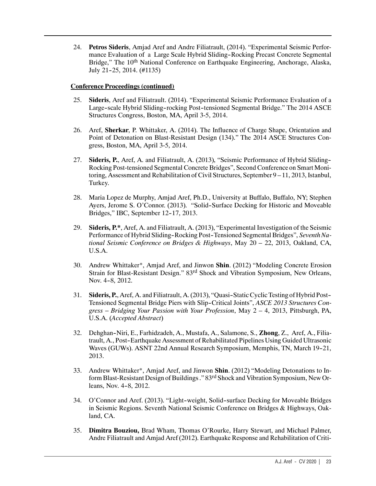mance Evaluation of a Large Scale Hybrid Sliding-Rocking Precast Concrete Segmental - July 21 -25, 2014. (#1135) 24. Petros Sideris, Amjad Aref and Andre Filiatrault, (2014). "Experimental Seismic Perfor-Bridge," The 10<sup>th</sup> National Conference on Earthquake Engineering, Anchorage, Alaska,

- Large-scale Hybrid Sliding-rocking Post-tensioned Segmental Bridge." The 2014 ASCE 25. Sideris, Aref and Filiatrault. (2014). "Experimental Seismic Performance Evaluation of a Structures Congress, Boston, MA, April 3-5, 2014.
- 26. Aref, Sherkar, P. Whittaker, A. (2014). The Influence of Charge Shape, Orientation and Point of Detonation on Blast-Resistant Design (134)." The 2014 ASCE Structures Congress, Boston, MA, April 3-5, 2014.
- 27. Sideris, P., Aref, A. and Filiatrault, A. (2013), "Seismic Performance of Hybrid Sliding-Rocking Post-tensioned Segmental Concrete Bridges", Second Conference on Smart Monitoring, Assessment and Rehabilitation of Civil Structures, September 9 – 11, 2013, Istanbul, Turkey.
- Ayers, Jerome S. O'Connor. (2013). "Solid-Surface Decking for Historic and Moveable Bridges," IBC, September 12-17, 2013. 28. Maria Lopez de Murphy, Amjad Aref, Ph.D., University at Buffalo, Buffalo, NY; Stephen
- Performance of Hybrid Sliding-Rocking Post-Tensioned Segmental Bridges", Seventh Na-29. Sideris, P.\*, Aref, A. and Filiatrault, A. (2013), "Experimental Investigation of the Seismic tional Seismic Conference on Bridges & Highways, May 20 – 22, 2013, Oakland, CA, U.S.A.
- Nov. 4-8, 2012. 30. Andrew Whittaker\*, Amjad Aref, and Jinwon Shin. (2012) "Modeling Concrete Erosion Strain for Blast-Resistant Design." 83rd Shock and Vibration Symposium, New Orleans,
- 31. Sideris, P., Aref, A. and Filiatrault, A. (2013), "Quasi-Static Cyclic Testing of Hybrid Post-Tensioned Segmental Bridge Piers with Slip-Critical Joints", ASCE 2013 Structures Congress – Bridging Your Passion with Your Profession, May 2 – 4, 2013, Pittsburgh, PA, U.S.A. (Accepted Abstract)
- 32. Dehghan-Niri, E., Farhidzadeh, A., Mustafa, A., Salamone, S., Zhong, Z., Aref, A., Filiatrault, A., Post-Earthquake Assessment of Rehabilitated Pipelines Using Guided Ultrasonic Waves (GUWs). ASNT 22nd Annual Research Symposium, Memphis, TN, March 19-21, 2013.
- leans, Nov. 4-8, 2012. 33. Andrew Whittaker\*, Amjad Aref, and Jinwon Shin. (2012) "Modeling Detonations to Inform Blast-Resistant Design of Buildings." 83rd Shock and Vibration Symposium, New Or-
- 34. O'Connor and Aref. (2013). "Light-weight, Solid-surface Decking for Moveable Bridges in Seismic Regions. Seventh National Seismic Conference on Bridges & Highways, Oakland, CA.
- 35. Dimitra Bouziou, Brad Wham, Thomas O'Rourke, Harry Stewart, and Michael Palmer, Andre Filiatrault and Amjad Aref(2012). Earthquake Response and Rehabilitation of Criti-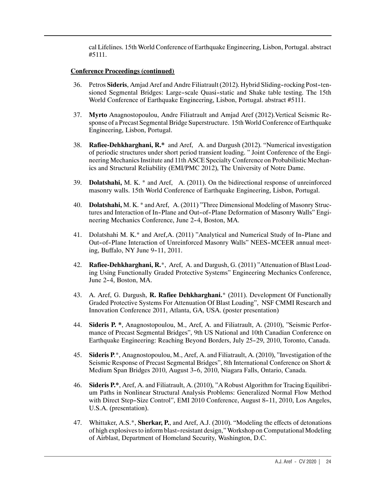cal Lifelines. 15th World Conference of Earthquake Engineering, Lisbon, Portugal. abstract #5111.

- 36. Petros Sideris, Amjad Aref and Andre Filiatrault (2012). Hybrid Sliding-rocking Post-tensioned Segmental Bridges: Large-scale Quasi-static and Shake table testing. The 15th World Conference of Earthquake Engineering, Lisbon, Portugal. abstract #5111.
- 37. Myrto Anagnostopoulou, Andre Filiatrault and Amjad Aref (2012).Vertical Seismic Response of a Precast Segmental Bridge Superstructure. 15th World Conference of Earthquake Engineering, Lisbon, Portugal.
- 38. Rafiee-Dehkharghani, R.\* and Aref, A. and Dargush (2012). "Numerical investigation of periodic structures under short period transient loading. " Joint Conference of the Engineering Mechanics Institute and 11th ASCE Specialty Conference on Probabilistic Mechanics and Structural Reliability (EMI/PMC 2012), The University of Notre Dame.
- 39. Dolatshahi, M. K. \* and Aref, A. (2011). On the bidirectional response of unreinforced masonry walls. 15th World Conference of Earthquake Engineering, Lisbon, Portugal.
- tures and Interaction of In-Plane and Out-of-Plane Deformation of Masonry Walls" Engineering Mechanics Conference, June 2-4, Boston, MA. 40. Dolatshahi, M. K. \* and Aref, A. (2011) "Three Dimensional Modeling of Masonry Struc-
- 41. Dolatshahi M. K.\* and Aref, A. (2011) "Analytical and Numerical Study of In-Plane and Out-of-Plane Interaction of Unreinforced Masonry Walls" NEES-MCEER annual meeting, Buffalo, NY June 9-11, 2011.
- June 2-4, Boston, MA. 42. Rafiee-Dehkharghani, R.\*, Aref, A. and Dargush, G. (2011) "Attenuation of Blast Loading Using Functionally Graded Protective Systems" Engineering Mechanics Conference,
- 43. A. Aref, G. Dargush, R. Rafiee Dehkharghani.\* (2011). Development Of Functionally Graded Protective Systems For Attenuation Of Blast Loading", NSF CMMI Research and Innovation Conference 2011, Atlanta, GA, USA. (poster presentation)
- Earthquake Engineering: Reaching Beyond Borders, July 25-29, 2010, Toronto, Canada. 44. Sideris P. \*, Anagnostopoulou, M., Aref, A. and Filiatrault, A. (2010), "Seismic Performance of Precast Segmental Bridges", 9th US National and 10th Canadian Conference on
- Medium Span Bridges 2010, August 3-6, 2010, Niagara Falls, Ontario, Canada. 45. Sideris P.\*, Anagnostopoulou, M., Aref, A. and Filiatrault, A. (2010), "Investigation of the Seismic Response of Precast Segmental Bridges", 8th International Conference on Short &
- with Direct Step-Size Control", EMI 2010 Conference, August 8-11, 2010, Los Angeles, 46. Sideris P.\*, Aref, A. and Filiatrault, A. (2010), "A Robust Algorithm for Tracing Equilibrium Paths in Nonlinear Structural Analysis Problems: Generalized Normal Flow Method U.S.A. (presentation).
- of high explosives to inform blast-resistant design," Workshop on Computational Modeling 47. Whittaker, A.S.\*, Sherkar, P., and Aref, A.J. (2010). "Modeling the effects of detonations of Airblast, Department of Homeland Security, Washington, D.C.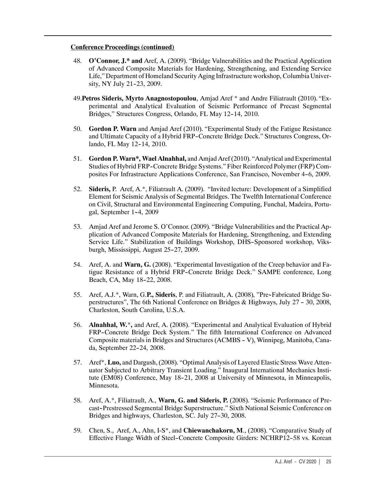- sity, NY July 21-23, 2009. 48. O'Connor, J.\* and Aref, A. (2009). "Bridge Vulnerabilities and the Practical Application of Advanced Composite Materials for Hardening, Strengthening, and Extending Service Life," Department of Homeland Security Aging Infrastructureworkshop, ColumbiaUniver-
- Bridges," Structures Congress, Orlando, FL May 12-14, 2010. 49.Petros Sideris, Myrto Anagnostopoulou, Amjad Aref \* and Andre Filiatrault (2010). "Experimental and Analytical Evaluation of Seismic Performance of Precast Segmental
- and Ultimate Capacity of a Hybrid FRP -Concrete Bridge Deck." Structures Congress, Orlando, FL May 12-14, 2010. 50. Gordon P. Warn and Amjad Aref (2010). "Experimental Study of the Fatigue Resistance
- Studies of Hybrid FRP-Concrete Bridge Systems." Fiber Reinforced Polymer (FRP) Composites For Infrastructure Applications Conference, San Francisco, November 4-6, 2009. 51. Gordon P. Warn\*, Wael Alnahhal, and Amjad Aref (2010). "Analytical and Experimental
- gal, September 1-4, 2009 52. Sideris, P. Aref, A.\*, Filiatrault A. (2009). "Invited lecture: Development of a Simplified Element for Seismic Analysis of Segmental Bridges. The Twelfth International Conference on Civil, Structural and Environmental Engineering Computing, Funchal, Madeira, Portu-
- Service Life." Stabilization of Buildings Workshop, DHS-Sponsored workshop, Viks-- burgh, Mississippi, August 25 -27, 2009. 53. Amjad Aref and Jerome S. O'Connor. (2009). "Bridge Vulnerabilities and the Practical Application of Advanced Composite Materials for Hardening, Strengthening, and Extending
- tigue Resistance of a Hybrid FRP-Concrete Bridge Deck." SAMPE conference, Long Beach, CA, May 18-22, 2008. 54. Aref, A. and Warn, G. (2008). "Experimental Investigation of the Creep behavior and Fa-
- 55. Aref, A.J.\*, Warn, G.P., Sideris, P. and Filiatrault, A. (2008), "Pre-Fabricated Bridge Superstructures", The 6th National Conference on Bridges & Highways, July 27 - 30, 2008, Charleston, South Carolina, U.S.A.
- FRP-Concrete Bridge Deck System." The fifth International Conference on Advanced Composite materials in Bridges and Structures (ACMBS - V), Winnipeg, Manitoba, Canada, September 22-24, 2008. 56. Alnahhal, W.\*, and Aref, A. (2008). "Experimental and Analytical Evaluation of Hybrid
- tute (EM08) Conference, May 18-21, 2008 at University of Minnesota, in Minneapolis, 57. Aref\*, Luo, and Dargush, (2008). "Optimal Analysis of Layered Elastic Stress Wave Attenuator Subjected to Arbitrary Transient Loading." Inaugural International Mechanics Insti-Minnesota.
- cast-Prestressed Segmental Bridge Superstructure." Sixth National Seismic Conference on Bridges and highways, Charleston, SC. July 27-30, 2008. 58. Aref, A.\*, Filiatrault, A., Warn, G. and Sideris, P. (2008). "Seismic Performance of Pre-
- Effective Flange Width of Steel-Concrete Composite Girders: NCHRP12-58 vs. Korean 59. Chen, S., Aref, A., Ahn, I-S\*, and Chiewanchakorn, M., (2008). "Comparative Study of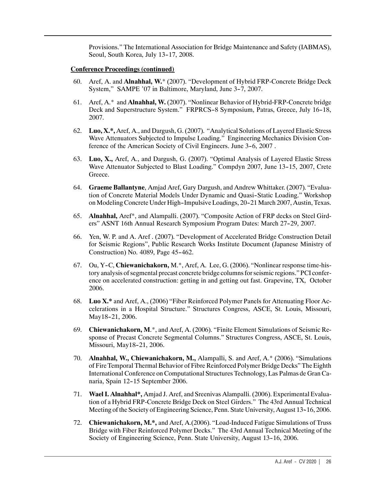Seoul, South Korea, July 13-17, 2008. Provisions." The International Association for Bridge Maintenance and Safety (IABMAS),

- System," SAMPE '07 in Baltimore, Maryland, June 3-7, 2007. 60. Aref, A. and Alnahhal, W.\* (2007). "Development of Hybrid FRP-Concrete Bridge Deck
- Deck and Superstructure System." FRPRCS-8 Symposium, Patras, Greece, July 16-18, 61. Aref, A.\* and Alnahhal, W. (2007). "Nonlinear Behavior of Hybrid-FRP-Concrete bridge 2007.
- ference of the American Society of Civil Engineers. June 3-6, 2007. 62. Luo, X.\*, Aref, A., and Dargush, G. (2007). "Analytical Solutions of Layered Elastic Stress Wave Attenuators Subjected to Impulse Loading." Engineering Mechanics Division Con-
- Wave Attenuator Subjected to Blast Loading." Compdyn 2007, June 13-15, 2007, Crete 63. Luo, X., Aref, A., and Dargush, G. (2007). "Optimal Analysis of Layered Elastic Stress Greece.
- tion of Concrete Material Models Under Dynamic and Quasi-Static Loading." Workshop on Modeling Concrete Under High-Impulsive Loadings, 20-21 March 2007, Austin, Texas. 64. Graeme Ballantyne, Amjad Aref, Gary Dargush, and Andrew Whittaker. (2007). "Evalua-
- ers" ASNT 16th Annual Research Symposium Program Dates: March 27-29, 2007. 65. Alnahhal, Aref\*, and Alampalli. (2007). "Composite Action of FRP decks on Steel Gird-
- Construction) No. 4089, Page 45 -462. 66. Yen, W. P. and A. Aref . (2007). "Development of Accelerated Bridge Construction Detail for Seismic Regions", Public Research Works Institute Document (Japanese Ministry of
- 67. Ou, Y-C, Chiewanichakorn, M.\*, Aref, A. Lee, G. (2006). "Nonlinear response time-history analysis of segmental precast concrete bridge columns for seismic regions." PCI conference on accelerated construction: getting in and getting out fast. Grapevine, TX, October 2006.
- May18-21, 2006. 68. Luo X.\* and Aref, A., (2006) "Fiber Reinforced Polymer Panels for Attenuating Floor Accelerations in a Hospital Structure." Structures Congress, ASCE, St. Louis, Missouri,
- Missouri, May18-21, 2006. 69. Chiewanichakorn, M.\*, and Aref, A. (2006). "Finite Element Simulations of Seismic Response of Precast Concrete Segmental Columns." Structures Congress, ASCE, St. Louis,
- naria, Spain 12-15 September 2006. 70. Alnahhal, W., Chiewanichakorn, M., Alampalli, S. and Aref, A.\* (2006). "Simulations of Fire Temporal Thermal Behavior of Fibre Reinforced Polymer Bridge Decks" The Eighth InternationalConference onComputational Structures Technology, Las Palmas de GranCa-
- Meeting of the Society of Engineering Science, Penn. State University, August 13-16, 2006. 71. Wael I. Alnahhal\*, Amjad J. Aref, and Sreenivas Alampalli. (2006). Experimental Evaluation of a Hybrid FRP-Concrete Bridge Deck on Steel Girders." The 43rd Annual Technical
- Society of Engineering Science, Penn. State University, August 13-16, 2006. 72. Chiewanichakorn, M.\*, and Aref, A.(2006). "Load-Induced Fatigue Simulations of Truss Bridge with Fiber Reinforced Polymer Decks." The 43rd Annual Technical Meeting of the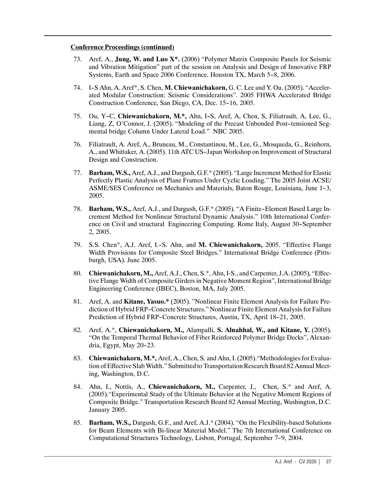- Systems, Earth and Space 2006 Conference. Houston TX, March 5-8, 2006. 73. Aref, A., Jung, W. and Luo X\*. (2006) "Polymer Matrix Composite Panels for Seismic and Vibration Mitigation" part of the session on Analysis and Design of Innovative FRP
- 74. I-S Ahn, A. Aref\*, S. Chen, M. Chiewanichakorn, G. C. Lee and Y. Ou. (2005). "Acceler-Construction Conference, San Diego, CA, Dec. 15-16, 2005. ated Modular Construction: Seismic Considerations". 2005 FHWA Accelerated Bridge
- 75. Ou, Y-C, Chiewanichakorn, M.\*, Ahn, I-S, Aref, A, Chen, S, Filiatrault, A, Lee, G., Liang, Z, O'Connor, J. (2005). "Modeling of the Precast Unbonded Post-tensioned Segmental bridge Column Under Lateral Load." NBC 2005.
- A., and Whittaker, A. (2005). 11th ATC US -Japan Workshop on Improvement of Structural 76. Filiatrault, A. Aref, A., Bruneau, M., Constantinou, M., Lee, G., Mosqueda, G., Reinhorn, Design and Construction.
- ASME/SES Conference on Mechanics and Materials, Baton Rouge, Louisiana, June 1-3, 77. Barham, W.S., Aref, A.J., and Dargush, G.F.\* (2005). "Large Increment Method for Elastic Perfectly Plastic Analysis of Plane Frames Under Cyclic Loading." The 2005 Joint ACSE/ 2005.
- 78. Barham, W.S., Aref, A.J., and Dargush, G.F.\* (2005). "A Finite-Element Based Large Inence on Civil and structural Engineering Computing. Rome Italy, August 30-September crement Method for Nonlinear Structural Dynamic Analysis." 10th International Confer-2, 2005.
- 79. S.S. Chen\*, A.J. Aref, I.-S. Ahn, and M. Chiewanichakorn, 2005. "Effective Flange Width Provisions for Composite Steel Bridges." International Bridge Conference (Pittsburgh, USA). June 2005.
- 80. Chiewanichakorn, M., Aref, A.J., Chen, S.\*, Ahn, I-S., and Carpenter, J.A. (2005), "Effective Flange Width of Composite Girders in Negative Moment Region", International Bridge Engineering Conference (IBEC), Boston, MA, July 2005.
- diction of Hybrid FRP-Concrete Structures." Nonlinear Finite Element Analysis for Failure Prediction of Hybrid FRP-Concrete Structures, Austin, TX, April 18-21, 2005. 81. Aref, A. and Kitane, Yasuo.\* (2005). "Nonlinear Finite Element Analysis for Failure Pre-
- dria, Egypt, May 20-23. 82. Aref, A.\*, Chiewanichakorn, M., Alampalli, S. Alnahhal, W., and Kitane, Y. (2005). "On the Temporal Thermal Behavior of Fiber Reinforced Polymer Bridge Decks", Alexan-
- 83. Chiewanichakorn, M.\*, Aref, A., Chen, S. and Ahn, I. (2005). "Methodologies for Evaluation of Effective Slab Width." Submitted to Transportation Research Board 82 Annual Meeting, Washington, D.C.
- 84. Ahn, I., Nottis, A., Chiewanichakorn, M., Carpenter, J., Chen, S.\* and Aref, A. (2005)."Experimental Study of the Ultimate Behavior at the Negative Moment Regions of Composite Bridge." Transportation Research Board 82 Annual Meeting, Washington, D.C. January 2005.
- Computational Structures Technology, Lisbon, Portugal, September 7-9, 2004. 85. Barham, W.S., Dargush, G.F., and Aref, A.J.\* (2004). "On the Flexibility-based Solutions for Beam Elements with Bi-linear Material Model." The 7th International Conference on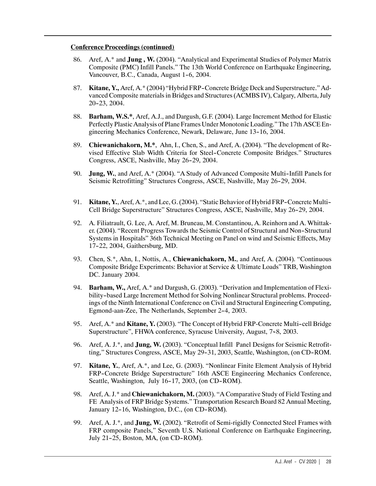- Vancouver, B.C., Canada, August 1-6, 2004. 86. Aref, A.\* and Jung , W. (2004). "Analytical and Experimental Studies of Polymer Matrix Composite (PMC) Infill Panels." The 13th World Conference on Earthquake Engineering,
- 87. Kitane, Y., Aref, A.\* (2004) "Hybrid FRP-Concrete Bridge Deck and Superstructure." Ad-- 20 -23, 2004. vanced Composite materialsin Bridges and Structures(ACMBS IV), Calgary, Alberta,July
- gineering Mechanics Conference, Newark, Delaware, June 13-16, 2004. 88. Barham, W.S.\*, Aref, A.J., and Dargush, G.F. (2004). Large Increment Method for Elastic Perfectly Plastic Analysis of Plane Frames Under Monotonic Loading." The 17th ASCE En-
- vised Effective Slab Width Criteria for Steel-Concrete Composite Bridges." Structures Congress, ASCE, Nashville, May 26-29, 2004. 89. Chiewanichakorn, M.\*, Ahn, I., Chen, S., and Aref, A. (2004). "The development of Re-
- 90. Jung, W., and Aref, A.\* (2004). "A Study of Advanced Composite Multi-Infill Panels for Seismic Retrofitting" Structures Congress, ASCE, Nashville, May 26-29, 2004.
- 91. Kitane, Y., Aref, A.\*, and Lee, G. (2004). "Static Behavior of Hybrid FRP-Concrete Multi-Cell Bridge Superstructure" Structures Congress, ASCE, Nashville, May 26-29, 2004.
- er. (2004). "Recent Progress Towards the Seismic Control of Structural and Non-Structural - 17 -22, 2004, Gaithersburg, MD. 92. A. Filiatrault, G. Lee, A. Aref, M. Bruneau, M. Constantinou, A. Reinhorn and A. Whittak-Systems in Hospitals" 36th Technical Meeting on Panel on wind and Seismic Effects, May
- 93. Chen, S.\*, Ahn, I., Nottis, A., Chiewanichakorn, M., and Aref, A. (2004). "Continuous Composite Bridge Experiments: Behavior at Service & Ultimate Loads" TRB, Washington DC. January 2004.
- bility -based Large Increment Method for Solving Nonlinear Structural problems. Proceed-Egmond-aan-Zee, The Netherlands, September 2-4, 2003. 94. Barham, W., Aref, A.\* and Dargush, G. (2003). "Derivation and Implementation of Flexiings of the Ninth International Conference on Civil and Structural Engineering Computing,
- 95. Aref, A.\* and Kitane, Y. (2003). "The Concept of Hybrid FRP-Concrete Multi-cell Bridge Superstructure", FHWA conference, Syracuse University, August, 7-8, 2003.
- ting," Structures Congress, ASCE, May 29-31, 2003, Seattle, Washington, (on CD-ROM. 96. Aref, A. J.\*, and **Jung, W.** (2003). "Conceptual Infill Panel Designs for Seismic Retrofit-
- FRP-Concrete Bridge Superstructure" 16th ASCE Engineering Mechanics Conference, Seattle, Washington, July 16-17, 2003, (on CD-ROM). 97. Kitane, Y., Aref, A.\*, and Lee, G. (2003). "Nonlinear Finite Element Analysis of Hybrid
- January 12-16, Washington, D.C., (on CD-ROM). 98. Aref, A. J.\* and Chiewanichakorn, M. (2003). "A Comparative Study of Field Testing and FE Analysis of FRP Bridge Systems." Transportation Research Board 82 Annual Meeting,
- July 21-25, Boston, MA, (on CD-ROM). 99. Aref, A. J.\*, and **Jung, W.** (2002). "Retrofit of Semi-rigidly Connected Steel Frames with FRP composite Panels," Seventh U.S. National Conference on Earthquake Engineering,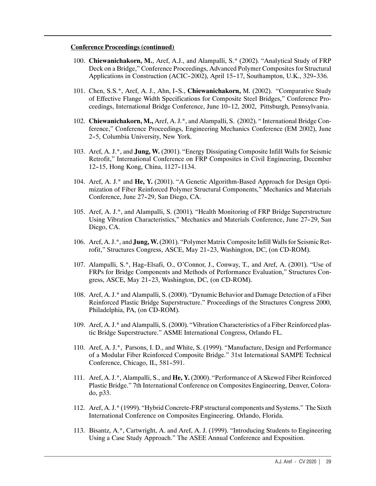- Applications in Construction (ACIC-2002), April 15-17, Southampton, U.K., 329-336. 100. Chiewanichakorn, M., Aref, A.J., and Alampalli, S.\* (2002). "Analytical Study of FRP Deck on a Bridge," Conference Proceedings, Advanced Polymer Composites for Structural
- 101. Chen, S.S.\*, Aref, A. J., Ahn, I-S., Chiewanichakorn, M. (2002). "Comparative Study ceedings, International Bridge Conference, June 10-12, 2002, Pittsburgh, Pennsylvania. of Effective Flange Width Specifications for Composite Steel Bridges," Conference Pro-
- 2 -5, Columbia University, New York. 102. Chiewanichakorn, M., Aref, A.J.\*, and Alampalli, S. (2002). " International Bridge Conference," Conference Proceedings, Engineering Mechanics Conference (EM 2002), June
- 12-15, Hong Kong, China, 1127-1134. 103. Aref, A. J.\*, and Jung, W. (2001). "Energy Dissipating Composite Infill Walls for Seismic Retrofit," International Conference on FRP Composites in Civil Engineering, December
- Conference, June 27-29, San Diego, CA. 104. Aref, A. J.\* and He, Y. (2001). "A Genetic Algorithm-Based Approach for Design Optimization of Fiber Reinforced Polymer Structural Components," Mechanics and Materials
- Using Vibration Characteristics," Mechanics and Materials Conference, June 27-29, San 105. Aref, A. J.\*, and Alampalli, S. (2001). "Health Monitoring of FRP Bridge Superstructure Diego, CA.
- rofit," Structures Congress, ASCE, May 21-23, Washington, DC, (on CD-ROM). 106. Aref, A.J.\*, and **Jung, W.** (2001). "Polymer Matrix Composite Infill Walls for Seismic Ret-
- 107. Alampalli, S.\*, Hag-Elsafi, O., O'Connor, J., Conway, T., and Aref, A. (2001). "Use of gress, ASCE, May 21-23, Washington, DC, (on CD-ROM). FRPs for Bridge Components and Methods of Performance Evaluation," Structures Con-
- 108. Aref, A.J.\* and Alampalli, S. (2000). "Dynamic Behavior and Damage Detection of a Fiber Reinforced Plastic Bridge Superstructure." Proceedings of the Structures Congress 2000, Philadelphia, PA, (on CD-ROM).
- 109. Aref, A.J.\* and Alampalli, S. (2000). "Vibration Characteristics of a Fiber Reinforced plastic Bridge Superstructure." ASME International Congress, Orlando FL.
- Conference, Chicago, IL, 581-591. 110. Aref, A. J.\*, Parsons, I. D., and White, S. (1999). "Manufacture, Design and Performance of a Modular Fiber Reinforced Composite Bridge." 31st International SAMPE Technical
- 111. Aref, A. J.\*, Alampalli, S., and He, Y. (2000). "Performance of A Skewed Fiber Reinforced Plastic Bridge." 7th International Conference on Composites Engineering, Denver, Colorado, p33.
- 112. Aref, A.J.\* (1999). "Hybrid Concrete-FRP structural components and Systems." The Sixth International Conference on Composites Engineering. Orlando, Florida.
- 113. Bisantz, A.\*, Cartwright, A. and Aref, A. J. (1999). "Introducing Students to Engineering Using a Case Study Approach." The ASEE Annual Conference and Exposition.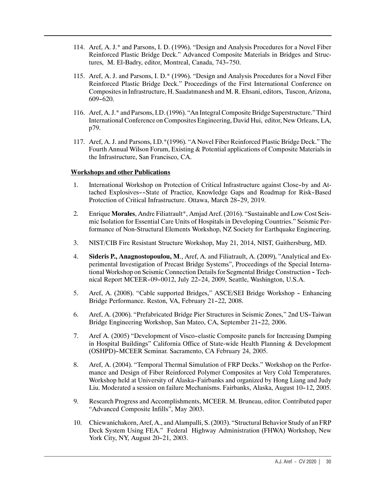- tures, M. El-Badry, editor, Montreal, Canada, 743-750. 114. Aref, A. J.\* and Parsons, I. D. (1996). "Design and Analysis Procedures for a Novel Fiber Reinforced Plastic Bridge Deck." Advanced Composite Materials in Bridges and Struc-
- 609 -620. 115. Aref, A. J. and Parsons, I. D.\* (1996). "Design and Analysis Procedures for a Novel Fiber Reinforced Plastic Bridge Deck." Proceedings of the First International Conference on Compositesin Infrastructure, H. Saadatmanesh and M.R. Ehsani, editors, Tuscon, Arizona,
- 116. Aref, A. J.\* and Parsons, I.D. (1996). "An Integral Composite Bridge Superstructure."Third InternationalConference onComposites Engineering, David Hui, editor, New Orleans, LA, p79.
- 117. Aref, A. J. and Parsons, I.D.\*(1996). "A Novel Fiber Reinforced Plastic Bridge Deck." The Fourth Annual Wilson Forum, Existing & Potential applications of Composite Materials in the Infrastructure, San Francisco, CA.

# Workshops and other Publications

- 1. International Workshop on Protection of Critical Infrastructure against Close -by and Attached Explosives--State of Practice, Knowledge Gaps and Roadmap for Risk-Based Protection of Critical Infrastructure. Ottawa, March 28-29, 2019.
- 2. Enrique Morales, Andre Filiatrault\*, Amjad Aref. (2016). "Sustainable and Low Cost Seismic Isolation for Essential Care Units of Hospitals in Developing Countries." Seismic Performance of Non-Structural Elements Workshop, NZ Society for Earthquake Engineering.
- 3. NIST/CIB Fire Resistant Structure Workshop, May 21, 2014, NIST, Gaithersburg, MD.
- tional Workshop on Seismic Connection Details for Segmental Bridge Construction Technical Report MCEER-09-0012, July 22-24, 2009, Seattle, Washington, U.S.A. 4. Sideris P., Anagnostopoulou, M., Aref, A. and Filiatrault, A. (2009), "Analytical and Experimental Investigation of Precast Bridge Systems", Proceedings of the Special Interna-
- 5. Aref, A. (2008). "Cable supported Bridges," ASCE/SEI Bridge Workshop Enhancing Bridge Performance. Reston, VA, February 21-22, 2008.
- 6. Aref, A. (2006). "Prefabricated Bridge Pier Structures in Seismic Zones," 2nd US-Taiwan Bridge Engineering Workshop, San Mateo, CA, September 21-22, 2006.
- 7. Aref A. (2005) "Development of Visco -elastic Composite panels for Increasing Damping (OSHPD)-MCEER Seminar. Sacramento, CA February 24, 2005. in Hospital Buildings" California Office of State-wide Health Planning & Development
- Workshop held at University of Alaska-Fairbanks and organized by Hong Liang and Judy Liu. Moderated a session on failure Mechanisms. Fairbanks, Alaska, August 10-12, 2005. 8. Aref, A. (2004). "Temporal Thermal Simulation of FRP Decks." Workshop on the Performance and Design of Fiber Reinforced Polymer Composites at Very Cold Temperatures.
- 9. Research Progress and Accomplishments, MCEER. M. Bruneau, editor. Contributed paper "Advanced Composite Infills", May 2003.
- York City, NY, August 20-21, 2003. 10. Chiewanichakorn, Aref, A., and Alampalli, S. (2003). "Structural Behavior Study of an FRP Deck System Using FEA." Federal Highway Administration (FHWA) Workshop, New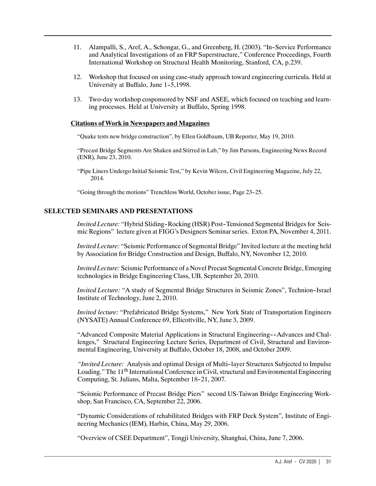- 11. Alampalli, S., Aref, A., Schongar, G., and Greenberg, H. (2003). "In -Service Performance and Analytical Investigations of an FRP Superstructure," Conference Proceedings, Fourth International Workshop on Structural Health Monitoring, Stanford, CA, p.239.
- University at Buffalo, June 1-5,1998. 12. Workshop that focused on using case-study approach toward engineering curricula. Held at
- 13. Two-day workshop cosponsored by NSF and ASEE, which focused on teaching and learning processes. Held at University at Buffalo, Spring 1998.

## Citations of Work in Newspapers and Magazines

"Quake tests new bridge construction", by Ellen Goldbaum, UB Reporter, May 19, 2010.

"Precast Bridge Segments Are Shaken and Stirred in Lab," by Jim Parsons, Engineering News Record (ENR), June 23, 2010.

"Pipe Liners Undergo Initial Seismic Test," by Kevin Wilcox, Civil Engineering Magazine, July 22, 2014.

- "Going through the motions" Trenchless World, October issue, Page 23-25.

# SELECTED SEMINARS AND PRESENTATIONS

Invited Lecture: "Hybrid Sliding-Rocking (HSR) Post-Tensioned Segmental Bridges for Seismic Regions" lecture given at FIGG's Designers Seminarseries. Exton PA, November 4, 2011.

Invited Lecture: "Seismic Performance of Segmental Bridge" Invited lecture at the meeting held by Association for Bridge Construction and Design, Buffalo, NY, November 12, 2010.

Invited Lecture: Seismic Performance of a Novel Precast Segmental Concrete Bridge, Emerging technologies in Bridge Engineering Class, UB. September 20, 2010.

Invited Lecture: "A study of Segmental Bridge Structures in Seismic Zones", Technion-Israel Institute of Technology, June 2, 2010.

Invited lecture: "Prefabricated Bridge Systems," New York State of Transportation Engineers (NYSATE) Annual Conference 69, Ellicottville, NY, June 3, 2009.

"Advanced Composite Material Applications in Structural Engineering--Advances and Challenges," Structural Engineering Lecture Series, Department of Civil, Structural and Environmental Engineering, University at Buffalo, October 18, 2008, and October 2009.

"Invited Lecture: Analysis and optimal Design of Multi-layer Structures Subjected to Impulse Computing, St. Julians, Malta, September 18-21, 2007. Loading." The 11<sup>th</sup> International Conference in Civil, structural and Environmental Engineering

"Seismic Performance of Precast Bridge Piers" second US-Taiwan Bridge Engineering Workshop, San Francisco, CA, September 22, 2006.

"Dynamic Considerations of rehabilitated Bridges with FRP Deck System", Institute of Engineering Mechanics(IEM), Harbin, China, May 29, 2006.

"Overview of CSEE Department", Tongji University, Shanghai, China, June 7, 2006.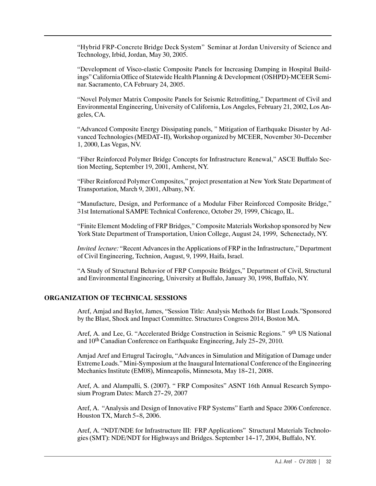"Hybrid FRP-Concrete Bridge Deck System" Seminar at Jordan University of Science and Technology, Irbid, Jordan, May 30, 2005.

"Development of Visco-elastic Composite Panels for Increasing Damping in Hospital Buildings" California Office of Statewide Health Planning & Development (OSHPD)-MCEER Seminar. Sacramento, CA February 24, 2005.

"Novel Polymer Matrix Composite Panels for Seismic Retrofitting," Department of Civil and Environmental Engineering, University of California, Los Angeles, February 21, 2002, Los Angeles, CA.

vanced Technologies (MEDAT-II), Workshop organized by MCEER, November 30-December "Advanced Composite Energy Dissipating panels, " Mitigation of Earthquake Disaster by Ad-1, 2000, Las Vegas, NV.

"Fiber Reinforced Polymer Bridge Concepts for Infrastructure Renewal," ASCE Buffalo Section Meeting, September 19, 2001, Amherst, NY.

"Fiber Reinforced Polymer Composites," project presentation at New York State Department of Transportation, March 9, 2001, Albany, NY.

"Manufacture, Design, and Performance of a Modular Fiber Reinforced Composite Bridge," 31st International SAMPE Technical Conference, October 29, 1999, Chicago, IL.

"Finite Element Modeling of FRP Bridges," Composite Materials Workshop sponsored by New York State Department of Transportation, Union College, August 24, 1999, Schenectady, NY.

Invited lecture: "Recent Advances in the Applications of FRP in the Infrastructure," Department of Civil Engineering, Technion, August, 9, 1999, Haifa, Israel.

"A Study of Structural Behavior of FRP Composite Bridges," Department of Civil, Structural and Environmental Engineering, University at Buffalo, January 30, 1998, Buffalo, NY.

#### ORGANIZATION OF TECHNICAL SESSIONS

Aref, Amjad and Baylot, James, "Session Title: Analysis Methods for Blast Loads."Sponsored by the Blast, Shock and Impact Committee. Structures Congress 2014, Boston MA.

and 10<sup>th</sup> Canadian Conference on Earthquake Engineering, July 25-29, 2010. Aref, A. and Lee, G. "Accelerated Bridge Construction in Seismic Regions." 9<sup>th</sup> US National

Mechanics Institute (EM08), Minneapolis, Minnesota, May 18-21, 2008. Amjad Aref and Ertugrul Taciroglu, "Advances in Simulation and Mitigation of Damage under Extreme Loads." Mini-Symposium at the Inaugural International Conference of the Engineering

- sium Program Dates: March 27 -29, 2007 Aref, A. and Alampalli, S. (2007). " FRP Composites" ASNT 16th Annual Research Sympo-

Houston TX, March 5-8, 2006. Aref, A. "Analysis and Design of Innovative FRP Systems" Earth and Space 2006 Conference.

- gies(SMT): NDE/NDT for Highways and Bridges. September 14 -17, 2004, Buffalo, NY. Aref, A. "NDT/NDE for Infrastructure III: FRP Applications" Structural Materials Technolo-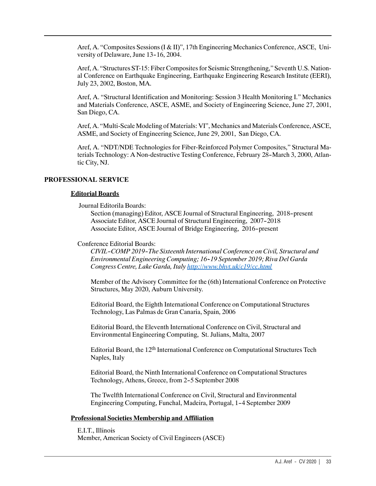versity of Delaware, June 13-16, 2004. Aref, A. "Composites Sessions(I & II)", 17th Engineering Mechanics Conference, ASCE, Uni-

Aref, A. "Structures ST-15: Fiber Composites for Seismic Strengthening," Seventh U.S. National Conference on Earthquake Engineering, Earthquake Engineering Research Institute (EERI), July 23, 2002, Boston, MA.

Aref, A. "Structural Identification and Monitoring: Session 3 Health Monitoring I." Mechanics and Materials Conference, ASCE, ASME, and Society of Engineering Science, June 27, 2001, San Diego, CA.

Aref, A. "Multi-Scale Modeling of Materials: VI", Mechanics and Materials Conference, ASCE, ASME, and Society of Engineering Science, June 29, 2001, San Diego, CA.

terials Technology: A Non-destructive Testing Conference, February 28-March 3, 2000, Atlan-Aref, A. "NDT/NDE Technologies for Fiber-Reinforced Polymer Composites," Structural Matic City, NJ.

### PROFESSIONAL SERVICE

#### Editorial Boards

Journal Editorila Boards:

Section (managing) Editor, ASCE Journal of Structural Engineering, 2018-present - Associate Editor, ASCE Journal of Structural Engineering, 2007 -2018 - Associate Editor, ASCE Journal of Bridge Engineering, 2016 -present

#### Conference Editorial Boards:

CIVIL-COMP 2019-The Sixteenth International Conference on Civil, Structural and - Environmental Engineering Computing; 16 -19 September 2019; Riva Del Garda Congress Centre, Lake Garda, Italy <http://www.bhvt.uk/c19/cc.html>

Member of the Advisory Committee for the (6th) International Conference on Protective Structures, May 2020, Auburn University.

Editorial Board, the Eighth International Conference on Computational Structures Technology, Las Palmas de Gran Canaria, Spain, 2006

Editorial Board, the Eleventh International Conference on Civil, Structural and Environmental Engineering Computing, St. Julians, Malta, 2007

Editorial Board, the 12th International Conference on Computational Structures Tech Naples, Italy

Technology, Athens, Greece, from 2-5 September 2008 Editorial Board, the Ninth International Conference on Computational Structures

- Engineering Computing, Funchal, Madeira, Portugal, 1 -4 September 2009 The Twelfth International Conference on Civil, Structural and Environmental

#### Professional Societies Membership and Affiliation

E.I.T., Illinois Member, American Society of Civil Engineers (ASCE)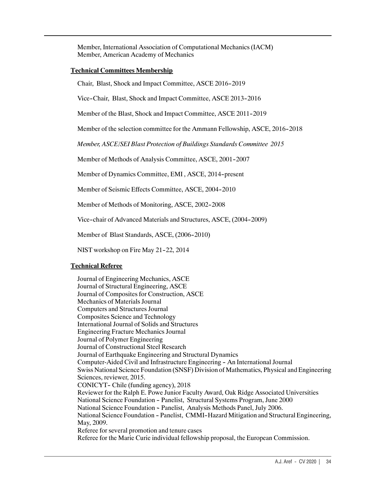Member, International Association of Computational Mechanics (IACM) Member, American Academy of Mechanics

## Technical Committees Membership

Chair, Blast, Shock and Impact Committee, ASCE 2016-2019

Vice-Chair, Blast, Shock and Impact Committee, ASCE 2013-2016

Member of the Blast, Shock and Impact Committee, ASCE 2011-2019

Member of the selection committee for the Ammann Fellowship, ASCE, 2016-2018

Member, ASCE/SEI Blast Protection of Buildings Standards Committee 2015

- Member of Methods of Analysis Committee, ASCE, 2001 -2007

- Member of Dynamics Committee, EMI , ASCE, 2014 -present

Member of Seismic Effects Committee, ASCE, 2004-2010

Member of Methods of Monitoring, ASCE, 2002-2008

Vice-chair of Advanced Materials and Structures, ASCE, (2004-2009)

Member of Blast Standards, ASCE, (2006-2010)

- NIST workshop on Fire May 21 -22, 2014

#### Technical Referee

Computer-Aided Civil and Infrastructure Engineering - An International Journal - CONICYT- Chile (funding agency), 2018 National Science Foundation - Panelist, Structural Systems Program, June 2000 National Science Foundation - Panelist, Analysis Methods Panel, July 2006. National Science Foundation - Panelist, CMMI-Hazard Mitigation and Structural Engineering, Journal of Engineering Mechanics, ASCE Journal of Structural Engineering, ASCE Journal of Composites for Construction, ASCE Mechanics of Materials Journal Computers and Structures Journal Composites Science and Technology International Journal of Solids and Structures Engineering Fracture MechanicsJournal Journal of Polymer Engineering Journal of Constructional Steel Research Journal of Earthquake Engineering and Structural Dynamics Swiss National Science Foundation (SNSF) Division of Mathematics, Physical and Engineering Sciences, reviewer, 2015. Reviewer for the Ralph E. Powe Junior Faculty Award, Oak Ridge Associated Universities May, 2009. Referee for several promotion and tenure cases Referee for the Marie Curie individual fellowship proposal, the European Commission.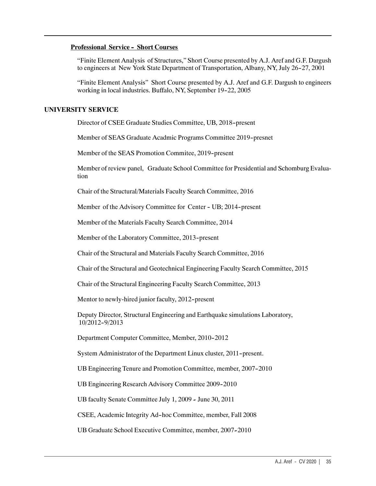## <u> Professional Service - Short Courses</u>

to engineers at New York State Department of Transportation, Albany, NY, July 26-27, 2001 "Finite Element Analysis of Structures," Short Course presented by A.J. Aref and G.F. Dargush

- working in local industries. Buffalo, NY, September 19 -22, 2005 "Finite Element Analysis" Short Course presented by A.J. Aref and G.F. Dargush to engineers

## UNIVERSITY SERVICE

- Director of CSEE Graduate Studies Committee, UB, 2018 -present

Member of SEAS Graduate Acadmic Programs Committee 2019-presnet

Member of the SEAS Promotion Commitee, 2019-present

Member of review panel, Graduate School Committee for Presidential and Schomburg Evaluation

Chair of the Structural/Materials Faculty Search Committee, 2016

Member of the Advisory Committee for Center - UB; 2014-present

Member of the Materials Faculty Search Committee, 2014

Member of the Laboratory Committee, 2013-present

Chair of the Structural and Materials Faculty Search Committee, 2016

Chair of the Structural and Geotechnical Engineering Faculty Search Committee, 2015

Chair of the Structural Engineering Faculty Search Committee, 2013

Mentor to newly-hired junior faculty, 2012-present

- 10/2012 -9/2013 Deputy Director, Structural Engineering and Earthquake simulations Laboratory,

- Department Computer Committee, Member, 2010 -2012

System Administrator of the Department Linux cluster, 2011-present.

- UB Engineering Tenure and Promotion Committee, member, 2007 -2010

UB Engineering Research Advisory Committee 2009-2010

UB faculty Senate Committee July 1, 2009 - June 30, 2011

- CSEE, Academic Integrity Ad -hoc Committee, member, Fall 2008

UB Graduate School Executive Committee, member, 2007-2010